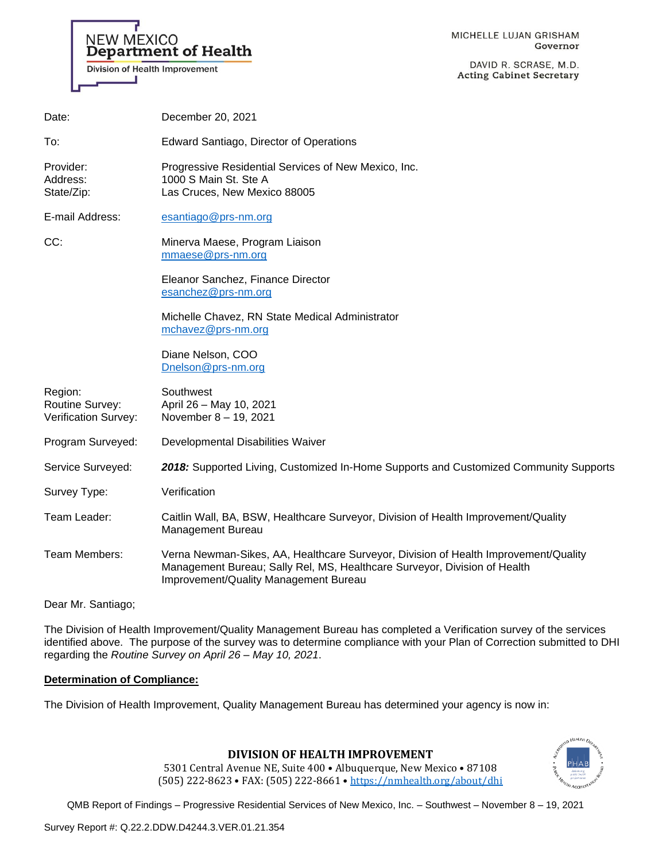#### MICHELLE LUJAN GRISHAM Governor

DAVID R. SCRASE, M.D. **Acting Cabinet Secretary** 

| Date:                                                     | December 20, 2021                                                                                                                                                                                         |
|-----------------------------------------------------------|-----------------------------------------------------------------------------------------------------------------------------------------------------------------------------------------------------------|
| To:                                                       | Edward Santiago, Director of Operations                                                                                                                                                                   |
| Provider:<br>Address:<br>State/Zip:                       | Progressive Residential Services of New Mexico, Inc.<br>1000 S Main St. Ste A<br>Las Cruces, New Mexico 88005                                                                                             |
| E-mail Address:                                           | esantiago@prs-nm.org                                                                                                                                                                                      |
| CC:                                                       | Minerva Maese, Program Liaison<br>mmaese@prs-nm.org                                                                                                                                                       |
|                                                           | Eleanor Sanchez, Finance Director<br>esanchez@prs-nm.org                                                                                                                                                  |
|                                                           | Michelle Chavez, RN State Medical Administrator<br>mchavez@prs-nm.org                                                                                                                                     |
|                                                           | Diane Nelson, COO<br>Dnelson@prs-nm.org                                                                                                                                                                   |
| Region:<br><b>Routine Survey:</b><br>Verification Survey: | Southwest<br>April 26 - May 10, 2021<br>November 8 - 19, 2021                                                                                                                                             |
| Program Surveyed:                                         | Developmental Disabilities Waiver                                                                                                                                                                         |
| Service Surveyed:                                         | 2018: Supported Living, Customized In-Home Supports and Customized Community Supports                                                                                                                     |
| Survey Type:                                              | Verification                                                                                                                                                                                              |
| Team Leader:                                              | Caitlin Wall, BA, BSW, Healthcare Surveyor, Division of Health Improvement/Quality<br>Management Bureau                                                                                                   |
| Team Members:                                             | Verna Newman-Sikes, AA, Healthcare Surveyor, Division of Health Improvement/Quality<br>Management Bureau; Sally Rel, MS, Healthcare Surveyor, Division of Health<br>Improvement/Quality Management Bureau |
|                                                           |                                                                                                                                                                                                           |

Dear Mr. Santiago;

The Division of Health Improvement/Quality Management Bureau has completed a Verification survey of the services identified above. The purpose of the survey was to determine compliance with your Plan of Correction submitted to DHI regarding the *Routine Survey on April 26 – May 10, 2021*.

## **Determination of Compliance:**

**NEW MEXICO** 

ц

Department of Health

Division of Health Improvement

The Division of Health Improvement, Quality Management Bureau has determined your agency is now in:

# **DIVISION OF HEALTH IMPROVEMENT**

5301 Central Avenue NE, Suite 400 • Albuquerque, New Mexico • 87108 (505) 222-8623 • FAX: (505) 222-8661 • <https://nmhealth.org/about/dhi>

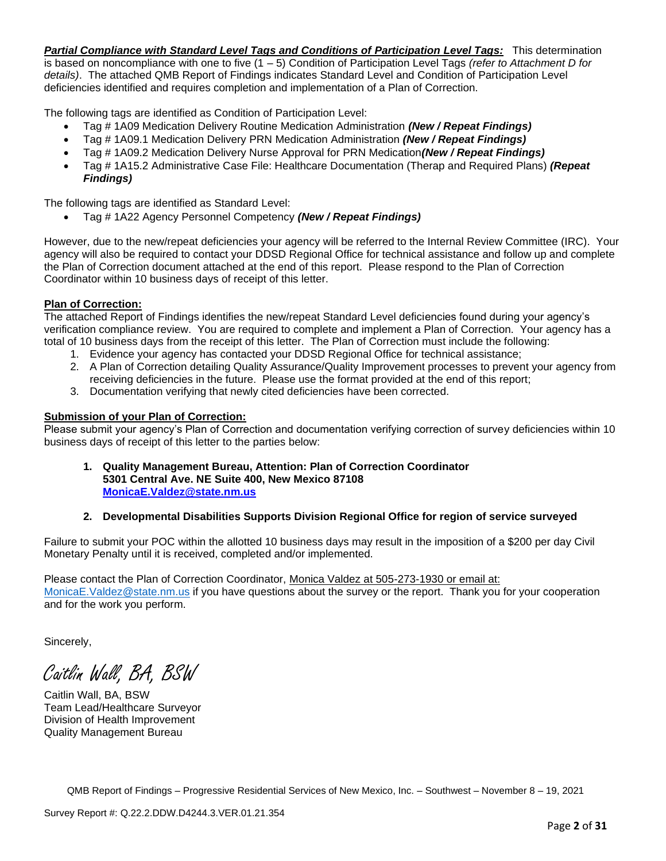*Partial Compliance with Standard Level Tags and Conditions of Participation Level Tags:* This determination is based on noncompliance with one to five (1 – 5) Condition of Participation Level Tags *(refer to Attachment D for details)*. The attached QMB Report of Findings indicates Standard Level and Condition of Participation Level deficiencies identified and requires completion and implementation of a Plan of Correction.

The following tags are identified as Condition of Participation Level:

- Tag # 1A09 Medication Delivery Routine Medication Administration *(New / Repeat Findings)*
- Tag # 1A09.1 Medication Delivery PRN Medication Administration *(New / Repeat Findings)*
- Tag # 1A09.2 Medication Delivery Nurse Approval for PRN Medication*(New / Repeat Findings)*
- Tag # 1A15.2 Administrative Case File: Healthcare Documentation (Therap and Required Plans) *(Repeat Findings)*

The following tags are identified as Standard Level:

• Tag # 1A22 Agency Personnel Competency *(New / Repeat Findings)*

However, due to the new/repeat deficiencies your agency will be referred to the Internal Review Committee (IRC). Your agency will also be required to contact your DDSD Regional Office for technical assistance and follow up and complete the Plan of Correction document attached at the end of this report. Please respond to the Plan of Correction Coordinator within 10 business days of receipt of this letter.

## **Plan of Correction:**

The attached Report of Findings identifies the new/repeat Standard Level deficiencies found during your agency's verification compliance review. You are required to complete and implement a Plan of Correction. Your agency has a total of 10 business days from the receipt of this letter. The Plan of Correction must include the following:

- 1. Evidence your agency has contacted your DDSD Regional Office for technical assistance;
- 2. A Plan of Correction detailing Quality Assurance/Quality Improvement processes to prevent your agency from receiving deficiencies in the future. Please use the format provided at the end of this report;
- 3. Documentation verifying that newly cited deficiencies have been corrected.

## **Submission of your Plan of Correction:**

Please submit your agency's Plan of Correction and documentation verifying correction of survey deficiencies within 10 business days of receipt of this letter to the parties below:

**1. Quality Management Bureau, Attention: Plan of Correction Coordinator 5301 Central Ave. NE Suite 400, New Mexico 87108 [MonicaE.Valdez@state.nm.us](mailto:MonicaE.Valdez@state.nm.us)**

# **2. Developmental Disabilities Supports Division Regional Office for region of service surveyed**

Failure to submit your POC within the allotted 10 business days may result in the imposition of a \$200 per day Civil Monetary Penalty until it is received, completed and/or implemented.

Please contact the Plan of Correction Coordinator, Monica Valdez at 505-273-1930 or email at: [MonicaE.Valdez@state.nm.us](mailto:MonicaE.Valdez@state.nm.us) if you have questions about the survey or the report. Thank you for your cooperation and for the work you perform.

Sincerely,

Caitlin Wall, BA, BSW

Caitlin Wall, BA, BSW Team Lead/Healthcare Surveyor Division of Health Improvement Quality Management Bureau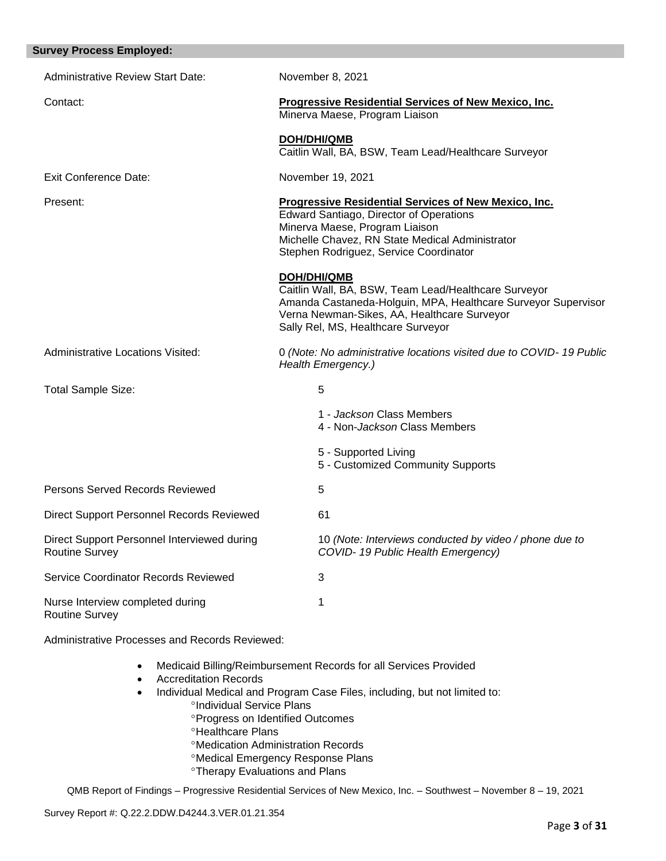| <b>Survey Process Employed:</b>                                      |                                                                                                                                                                                                                                       |
|----------------------------------------------------------------------|---------------------------------------------------------------------------------------------------------------------------------------------------------------------------------------------------------------------------------------|
| <b>Administrative Review Start Date:</b>                             | November 8, 2021                                                                                                                                                                                                                      |
| Contact:                                                             | <b>Progressive Residential Services of New Mexico, Inc.</b><br>Minerva Maese, Program Liaison                                                                                                                                         |
|                                                                      | <b>DOH/DHI/QMB</b><br>Caitlin Wall, BA, BSW, Team Lead/Healthcare Surveyor                                                                                                                                                            |
| <b>Exit Conference Date:</b>                                         | November 19, 2021                                                                                                                                                                                                                     |
| Present:                                                             | Progressive Residential Services of New Mexico, Inc.<br><b>Edward Santiago, Director of Operations</b><br>Minerva Maese, Program Liaison<br>Michelle Chavez, RN State Medical Administrator<br>Stephen Rodriguez, Service Coordinator |
|                                                                      | <b>DOH/DHI/QMB</b><br>Caitlin Wall, BA, BSW, Team Lead/Healthcare Surveyor<br>Amanda Castaneda-Holguin, MPA, Healthcare Surveyor Supervisor<br>Verna Newman-Sikes, AA, Healthcare Surveyor<br>Sally Rel, MS, Healthcare Surveyor      |
| <b>Administrative Locations Visited:</b>                             | 0 (Note: No administrative locations visited due to COVID-19 Public<br>Health Emergency.)                                                                                                                                             |
| <b>Total Sample Size:</b>                                            | 5                                                                                                                                                                                                                                     |
|                                                                      | 1 - Jackson Class Members<br>4 - Non-Jackson Class Members                                                                                                                                                                            |
|                                                                      | 5 - Supported Living<br>5 - Customized Community Supports                                                                                                                                                                             |
| Persons Served Records Reviewed                                      | 5                                                                                                                                                                                                                                     |
| <b>Direct Support Personnel Records Reviewed</b>                     | 61                                                                                                                                                                                                                                    |
| Direct Support Personnel Interviewed during<br><b>Routine Survey</b> | 10 (Note: Interviews conducted by video / phone due to<br>COVID-19 Public Health Emergency)                                                                                                                                           |
| Service Coordinator Records Reviewed                                 | 3                                                                                                                                                                                                                                     |
| Nurse Interview completed during<br><b>Routine Survey</b>            | 1                                                                                                                                                                                                                                     |

Administrative Processes and Records Reviewed:

- Medicaid Billing/Reimbursement Records for all Services Provided
- Accreditation Records
- Individual Medical and Program Case Files, including, but not limited to: <sup>o</sup>Individual Service Plans
	- Progress on Identified Outcomes
	- **<sup>o</sup>Healthcare Plans**
	- Medication Administration Records
	- Medical Emergency Response Plans
	- **<sup>o</sup>Therapy Evaluations and Plans**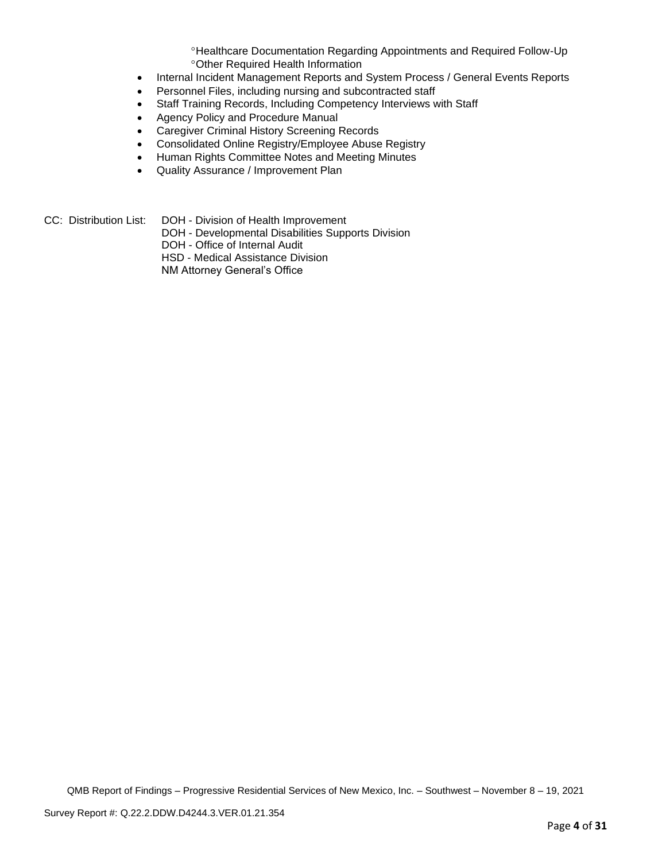Healthcare Documentation Regarding Appointments and Required Follow-Up Other Required Health Information

- Internal Incident Management Reports and System Process / General Events Reports
- Personnel Files, including nursing and subcontracted staff
- Staff Training Records, Including Competency Interviews with Staff
- Agency Policy and Procedure Manual
- Caregiver Criminal History Screening Records
- Consolidated Online Registry/Employee Abuse Registry
- Human Rights Committee Notes and Meeting Minutes
- Quality Assurance / Improvement Plan
- CC: Distribution List: DOH Division of Health Improvement
	- DOH Developmental Disabilities Supports Division
	- DOH Office of Internal Audit
	- HSD Medical Assistance Division
	- NM Attorney General's Office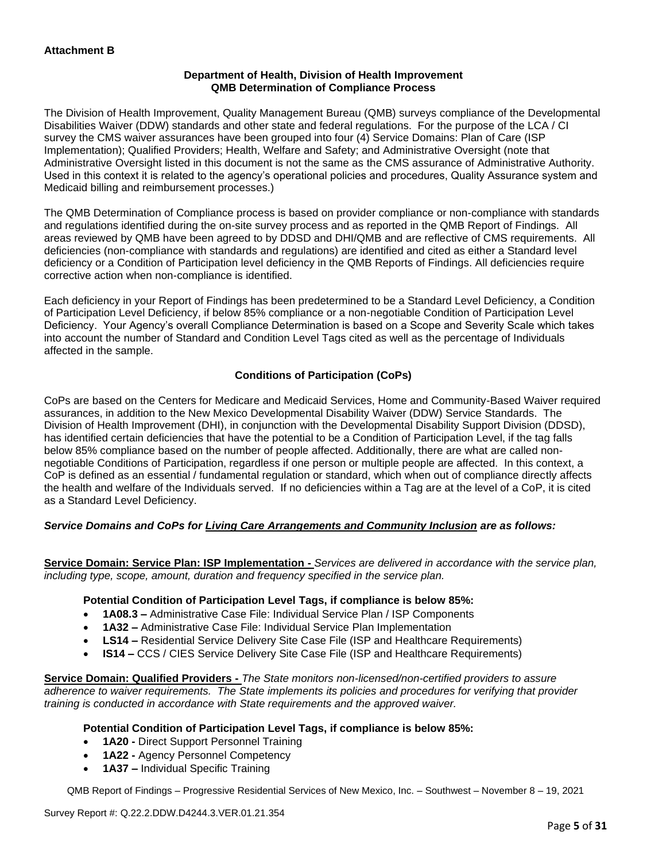## **Department of Health, Division of Health Improvement QMB Determination of Compliance Process**

The Division of Health Improvement, Quality Management Bureau (QMB) surveys compliance of the Developmental Disabilities Waiver (DDW) standards and other state and federal regulations. For the purpose of the LCA / CI survey the CMS waiver assurances have been grouped into four (4) Service Domains: Plan of Care (ISP Implementation); Qualified Providers; Health, Welfare and Safety; and Administrative Oversight (note that Administrative Oversight listed in this document is not the same as the CMS assurance of Administrative Authority. Used in this context it is related to the agency's operational policies and procedures, Quality Assurance system and Medicaid billing and reimbursement processes.)

The QMB Determination of Compliance process is based on provider compliance or non-compliance with standards and regulations identified during the on-site survey process and as reported in the QMB Report of Findings. All areas reviewed by QMB have been agreed to by DDSD and DHI/QMB and are reflective of CMS requirements. All deficiencies (non-compliance with standards and regulations) are identified and cited as either a Standard level deficiency or a Condition of Participation level deficiency in the QMB Reports of Findings. All deficiencies require corrective action when non-compliance is identified.

Each deficiency in your Report of Findings has been predetermined to be a Standard Level Deficiency, a Condition of Participation Level Deficiency, if below 85% compliance or a non-negotiable Condition of Participation Level Deficiency. Your Agency's overall Compliance Determination is based on a Scope and Severity Scale which takes into account the number of Standard and Condition Level Tags cited as well as the percentage of Individuals affected in the sample.

# **Conditions of Participation (CoPs)**

CoPs are based on the Centers for Medicare and Medicaid Services, Home and Community-Based Waiver required assurances, in addition to the New Mexico Developmental Disability Waiver (DDW) Service Standards. The Division of Health Improvement (DHI), in conjunction with the Developmental Disability Support Division (DDSD), has identified certain deficiencies that have the potential to be a Condition of Participation Level, if the tag falls below 85% compliance based on the number of people affected. Additionally, there are what are called nonnegotiable Conditions of Participation, regardless if one person or multiple people are affected. In this context, a CoP is defined as an essential / fundamental regulation or standard, which when out of compliance directly affects the health and welfare of the Individuals served. If no deficiencies within a Tag are at the level of a CoP, it is cited as a Standard Level Deficiency.

# *Service Domains and CoPs for Living Care Arrangements and Community Inclusion are as follows:*

**Service Domain: Service Plan: ISP Implementation -** *Services are delivered in accordance with the service plan, including type, scope, amount, duration and frequency specified in the service plan.*

#### **Potential Condition of Participation Level Tags, if compliance is below 85%:**

- **1A08.3 –** Administrative Case File: Individual Service Plan / ISP Components
- **1A32 –** Administrative Case File: Individual Service Plan Implementation
- **LS14 –** Residential Service Delivery Site Case File (ISP and Healthcare Requirements)
- **IS14 –** CCS / CIES Service Delivery Site Case File (ISP and Healthcare Requirements)

**Service Domain: Qualified Providers -** *The State monitors non-licensed/non-certified providers to assure adherence to waiver requirements. The State implements its policies and procedures for verifying that provider training is conducted in accordance with State requirements and the approved waiver.*

#### **Potential Condition of Participation Level Tags, if compliance is below 85%:**

- **1A20 -** Direct Support Personnel Training
- **1A22 -** Agency Personnel Competency
- **1A37 –** Individual Specific Training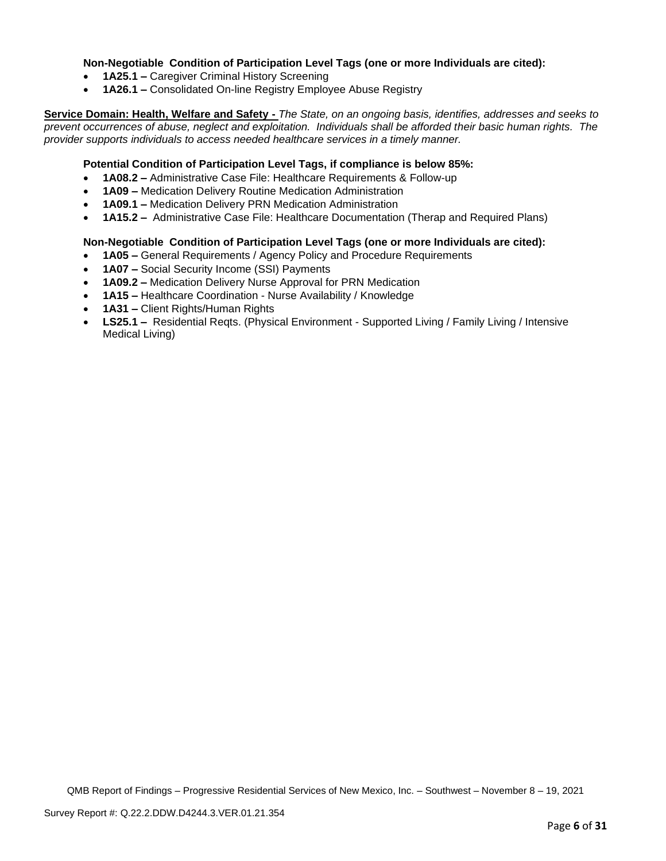### **Non-Negotiable Condition of Participation Level Tags (one or more Individuals are cited):**

- **1A25.1 –** Caregiver Criminal History Screening
- **1A26.1 –** Consolidated On-line Registry Employee Abuse Registry

**Service Domain: Health, Welfare and Safety -** *The State, on an ongoing basis, identifies, addresses and seeks to prevent occurrences of abuse, neglect and exploitation. Individuals shall be afforded their basic human rights. The provider supports individuals to access needed healthcare services in a timely manner.*

### **Potential Condition of Participation Level Tags, if compliance is below 85%:**

- **1A08.2 –** Administrative Case File: Healthcare Requirements & Follow-up
- **1A09 –** Medication Delivery Routine Medication Administration
- **1A09.1 –** Medication Delivery PRN Medication Administration
- **1A15.2 –** Administrative Case File: Healthcare Documentation (Therap and Required Plans)

#### **Non-Negotiable Condition of Participation Level Tags (one or more Individuals are cited):**

- **1A05 –** General Requirements / Agency Policy and Procedure Requirements
- **1A07 –** Social Security Income (SSI) Payments
- **1A09.2 –** Medication Delivery Nurse Approval for PRN Medication
- **1A15 –** Healthcare Coordination Nurse Availability / Knowledge
- **1A31 –** Client Rights/Human Rights
- **LS25.1 –** Residential Reqts. (Physical Environment Supported Living / Family Living / Intensive Medical Living)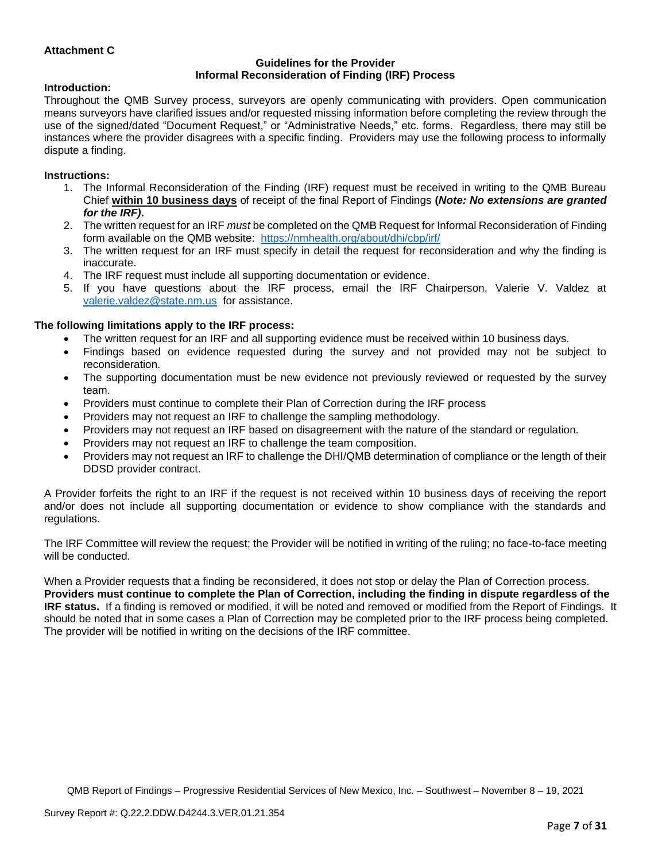## **Attachment C**

#### **Guidelines for the Provider Informal Reconsideration of Finding (IRF) Process**

#### **Introduction:**

Throughout the QMB Survey process, surveyors are openly communicating with providers. Open communication means surveyors have clarified issues and/or requested missing information before completing the review through the use of the signed/dated "Document Request," or "Administrative Needs," etc. forms. Regardless, there may still be instances where the provider disagrees with a specific finding. Providers may use the following process to informally dispute a finding.

#### **Instructions:**

- 1. The Informal Reconsideration of the Finding (IRF) request must be received in writing to the QMB Bureau Chief **within 10 business days** of receipt of the final Report of Findings **(***Note: No extensions are granted for the IRF)***.**
- 2. The written request for an IRF *must* be completed on the QMB Request for Informal Reconsideration of Finding form available on the QMB website: <https://nmhealth.org/about/dhi/cbp/irf/>
- 3. The written request for an IRF must specify in detail the request for reconsideration and why the finding is inaccurate.
- 4. The IRF request must include all supporting documentation or evidence.
- 5. If you have questions about the IRF process, email the IRF Chairperson, Valerie V. Valdez at [valerie.valdez@state.nm.us](mailto:valerie.valdez@state.nm.us) for assistance.

#### **The following limitations apply to the IRF process:**

- The written request for an IRF and all supporting evidence must be received within 10 business days.
- Findings based on evidence requested during the survey and not provided may not be subject to reconsideration.
- The supporting documentation must be new evidence not previously reviewed or requested by the survey team.
- Providers must continue to complete their Plan of Correction during the IRF process
- Providers may not request an IRF to challenge the sampling methodology.
- Providers may not request an IRF based on disagreement with the nature of the standard or regulation.
- Providers may not request an IRF to challenge the team composition.
- Providers may not request an IRF to challenge the DHI/QMB determination of compliance or the length of their DDSD provider contract.

A Provider forfeits the right to an IRF if the request is not received within 10 business days of receiving the report and/or does not include all supporting documentation or evidence to show compliance with the standards and regulations.

The IRF Committee will review the request; the Provider will be notified in writing of the ruling; no face-to-face meeting will be conducted.

When a Provider requests that a finding be reconsidered, it does not stop or delay the Plan of Correction process. **Providers must continue to complete the Plan of Correction, including the finding in dispute regardless of the IRF status.** If a finding is removed or modified, it will be noted and removed or modified from the Report of Findings. It should be noted that in some cases a Plan of Correction may be completed prior to the IRF process being completed. The provider will be notified in writing on the decisions of the IRF committee.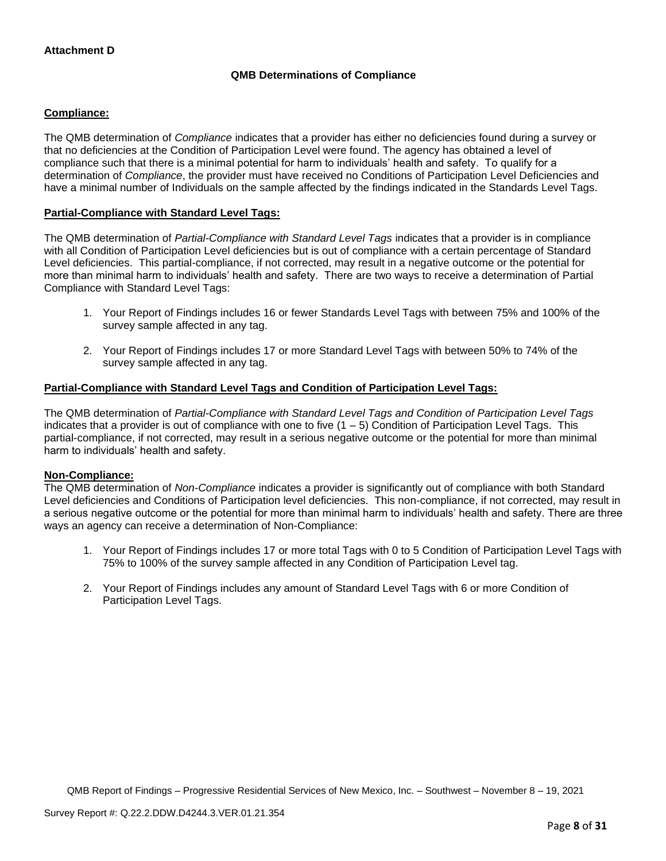# **QMB Determinations of Compliance**

## **Compliance:**

The QMB determination of *Compliance* indicates that a provider has either no deficiencies found during a survey or that no deficiencies at the Condition of Participation Level were found. The agency has obtained a level of compliance such that there is a minimal potential for harm to individuals' health and safety. To qualify for a determination of *Compliance*, the provider must have received no Conditions of Participation Level Deficiencies and have a minimal number of Individuals on the sample affected by the findings indicated in the Standards Level Tags.

### **Partial-Compliance with Standard Level Tags:**

The QMB determination of *Partial-Compliance with Standard Level Tags* indicates that a provider is in compliance with all Condition of Participation Level deficiencies but is out of compliance with a certain percentage of Standard Level deficiencies. This partial-compliance, if not corrected, may result in a negative outcome or the potential for more than minimal harm to individuals' health and safety. There are two ways to receive a determination of Partial Compliance with Standard Level Tags:

- 1. Your Report of Findings includes 16 or fewer Standards Level Tags with between 75% and 100% of the survey sample affected in any tag.
- 2. Your Report of Findings includes 17 or more Standard Level Tags with between 50% to 74% of the survey sample affected in any tag.

# **Partial-Compliance with Standard Level Tags and Condition of Participation Level Tags:**

The QMB determination of *Partial-Compliance with Standard Level Tags and Condition of Participation Level Tags*  indicates that a provider is out of compliance with one to five  $(1 - 5)$  Condition of Participation Level Tags. This partial-compliance, if not corrected, may result in a serious negative outcome or the potential for more than minimal harm to individuals' health and safety.

#### **Non-Compliance:**

The QMB determination of *Non-Compliance* indicates a provider is significantly out of compliance with both Standard Level deficiencies and Conditions of Participation level deficiencies. This non-compliance, if not corrected, may result in a serious negative outcome or the potential for more than minimal harm to individuals' health and safety. There are three ways an agency can receive a determination of Non-Compliance:

- 1. Your Report of Findings includes 17 or more total Tags with 0 to 5 Condition of Participation Level Tags with 75% to 100% of the survey sample affected in any Condition of Participation Level tag.
- 2. Your Report of Findings includes any amount of Standard Level Tags with 6 or more Condition of Participation Level Tags.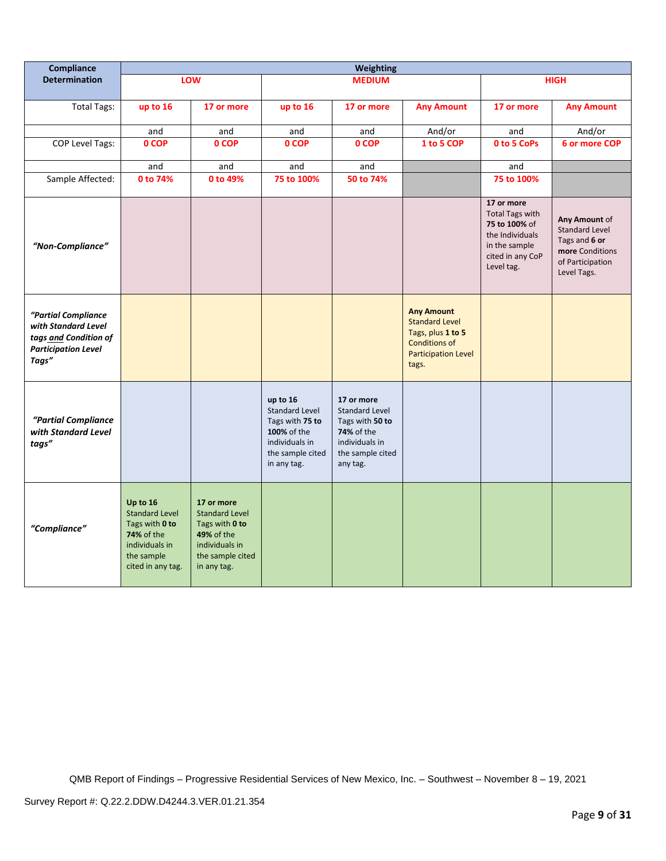| Compliance                                                                                                 | <b>Weighting</b>                                                                                                              |                                                                                                                          |                                                                                                                          |                                                                                                                        |                                                                                                                                |                                                                                                                             |                                                                                                               |
|------------------------------------------------------------------------------------------------------------|-------------------------------------------------------------------------------------------------------------------------------|--------------------------------------------------------------------------------------------------------------------------|--------------------------------------------------------------------------------------------------------------------------|------------------------------------------------------------------------------------------------------------------------|--------------------------------------------------------------------------------------------------------------------------------|-----------------------------------------------------------------------------------------------------------------------------|---------------------------------------------------------------------------------------------------------------|
| <b>Determination</b>                                                                                       |                                                                                                                               | LOW                                                                                                                      | <b>MEDIUM</b>                                                                                                            |                                                                                                                        |                                                                                                                                | <b>HIGH</b>                                                                                                                 |                                                                                                               |
| <b>Total Tags:</b>                                                                                         | up to 16                                                                                                                      | 17 or more                                                                                                               | up to 16                                                                                                                 | 17 or more                                                                                                             | <b>Any Amount</b>                                                                                                              | 17 or more                                                                                                                  | <b>Any Amount</b>                                                                                             |
|                                                                                                            | and                                                                                                                           | and                                                                                                                      | and                                                                                                                      | and                                                                                                                    | And/or                                                                                                                         | and                                                                                                                         | And/or                                                                                                        |
| <b>COP Level Tags:</b>                                                                                     | 0 COP                                                                                                                         | 0 COP                                                                                                                    | 0 COP                                                                                                                    | 0 COP                                                                                                                  | 1 to 5 COP                                                                                                                     | 0 to 5 CoPs                                                                                                                 | 6 or more COP                                                                                                 |
|                                                                                                            | and                                                                                                                           | and                                                                                                                      | and                                                                                                                      | and                                                                                                                    |                                                                                                                                | and                                                                                                                         |                                                                                                               |
| Sample Affected:                                                                                           | 0 to 74%                                                                                                                      | 0 to 49%                                                                                                                 | 75 to 100%                                                                                                               | 50 to 74%                                                                                                              |                                                                                                                                | 75 to 100%                                                                                                                  |                                                                                                               |
| "Non-Compliance"                                                                                           |                                                                                                                               |                                                                                                                          |                                                                                                                          |                                                                                                                        |                                                                                                                                | 17 or more<br><b>Total Tags with</b><br>75 to 100% of<br>the Individuals<br>in the sample<br>cited in any CoP<br>Level tag. | Any Amount of<br><b>Standard Level</b><br>Tags and 6 or<br>more Conditions<br>of Participation<br>Level Tags. |
| "Partial Compliance<br>with Standard Level<br>tags and Condition of<br><b>Participation Level</b><br>Tags" |                                                                                                                               |                                                                                                                          |                                                                                                                          |                                                                                                                        | <b>Any Amount</b><br><b>Standard Level</b><br>Tags, plus 1 to 5<br><b>Conditions of</b><br><b>Participation Level</b><br>tags. |                                                                                                                             |                                                                                                               |
| "Partial Compliance<br>with Standard Level<br>tags"                                                        |                                                                                                                               |                                                                                                                          | up to 16<br><b>Standard Level</b><br>Tags with 75 to<br>100% of the<br>individuals in<br>the sample cited<br>in any tag. | 17 or more<br><b>Standard Level</b><br>Tags with 50 to<br>74% of the<br>individuals in<br>the sample cited<br>any tag. |                                                                                                                                |                                                                                                                             |                                                                                                               |
| "Compliance"                                                                                               | Up to 16<br><b>Standard Level</b><br>Tags with 0 to<br><b>74% of the</b><br>individuals in<br>the sample<br>cited in any tag. | 17 or more<br><b>Standard Level</b><br>Tags with 0 to<br>49% of the<br>individuals in<br>the sample cited<br>in any tag. |                                                                                                                          |                                                                                                                        |                                                                                                                                |                                                                                                                             |                                                                                                               |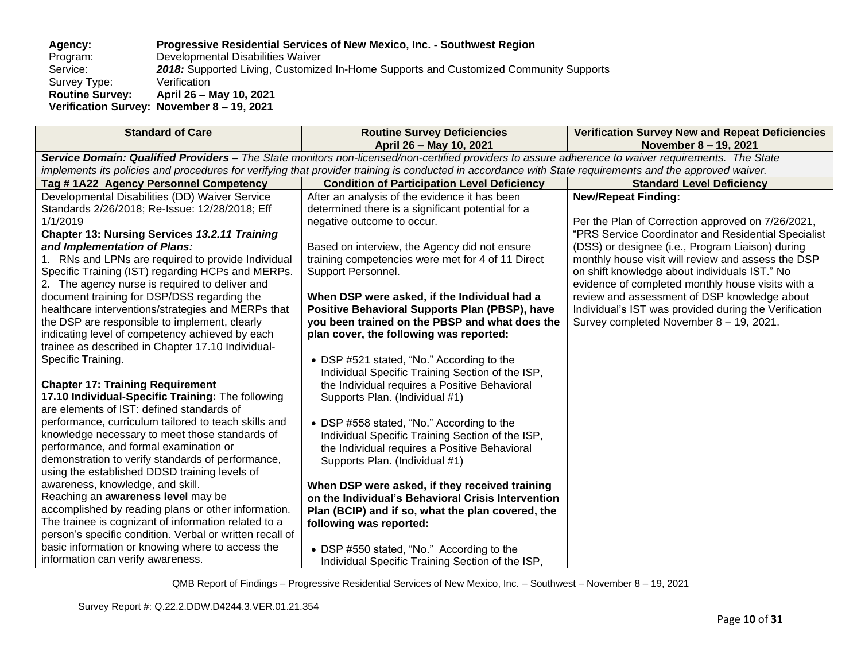### **Agency: Progressive Residential Services of New Mexico, Inc. - Southwest Region** Program: Developmental Disabilities Waiver<br>Service: 2018: Supported Living, Customize 2018: Supported Living, Customized In-Home Supports and Customized Community Supports Verification Survey Type: **Routine Survey: April 26 – May 10, 2021 Verification Survey: November 8 – 19, 2021**

| <b>Standard of Care</b>                                                                                                                                 | <b>Routine Survey Deficiencies</b>                    | <b>Verification Survey New and Repeat Deficiencies</b> |  |  |  |
|---------------------------------------------------------------------------------------------------------------------------------------------------------|-------------------------------------------------------|--------------------------------------------------------|--|--|--|
|                                                                                                                                                         | April 26 - May 10, 2021                               | November 8 - 19, 2021                                  |  |  |  |
| Service Domain: Qualified Providers - The State monitors non-licensed/non-certified providers to assure adherence to waiver requirements. The State     |                                                       |                                                        |  |  |  |
| implements its policies and procedures for verifying that provider training is conducted in accordance with State requirements and the approved waiver. |                                                       |                                                        |  |  |  |
| Tag #1A22 Agency Personnel Competency                                                                                                                   | <b>Condition of Participation Level Deficiency</b>    | <b>Standard Level Deficiency</b>                       |  |  |  |
| Developmental Disabilities (DD) Waiver Service                                                                                                          | After an analysis of the evidence it has been         | <b>New/Repeat Finding:</b>                             |  |  |  |
| Standards 2/26/2018; Re-Issue: 12/28/2018; Eff                                                                                                          | determined there is a significant potential for a     |                                                        |  |  |  |
| 1/1/2019                                                                                                                                                | negative outcome to occur.                            | Per the Plan of Correction approved on 7/26/2021,      |  |  |  |
| <b>Chapter 13: Nursing Services 13.2.11 Training</b>                                                                                                    |                                                       | "PRS Service Coordinator and Residential Specialist    |  |  |  |
| and Implementation of Plans:                                                                                                                            | Based on interview, the Agency did not ensure         | (DSS) or designee (i.e., Program Liaison) during       |  |  |  |
| 1. RNs and LPNs are required to provide Individual                                                                                                      | training competencies were met for 4 of 11 Direct     | monthly house visit will review and assess the DSP     |  |  |  |
| Specific Training (IST) regarding HCPs and MERPs.                                                                                                       | Support Personnel.                                    | on shift knowledge about individuals IST." No          |  |  |  |
| 2. The agency nurse is required to deliver and                                                                                                          |                                                       | evidence of completed monthly house visits with a      |  |  |  |
| document training for DSP/DSS regarding the                                                                                                             | When DSP were asked, if the Individual had a          | review and assessment of DSP knowledge about           |  |  |  |
| healthcare interventions/strategies and MERPs that                                                                                                      | <b>Positive Behavioral Supports Plan (PBSP), have</b> | Individual's IST was provided during the Verification  |  |  |  |
| the DSP are responsible to implement, clearly                                                                                                           | you been trained on the PBSP and what does the        | Survey completed November 8 - 19, 2021.                |  |  |  |
| indicating level of competency achieved by each                                                                                                         | plan cover, the following was reported:               |                                                        |  |  |  |
| trainee as described in Chapter 17.10 Individual-                                                                                                       |                                                       |                                                        |  |  |  |
| Specific Training.                                                                                                                                      | • DSP #521 stated, "No." According to the             |                                                        |  |  |  |
|                                                                                                                                                         | Individual Specific Training Section of the ISP,      |                                                        |  |  |  |
| <b>Chapter 17: Training Requirement</b>                                                                                                                 | the Individual requires a Positive Behavioral         |                                                        |  |  |  |
| 17.10 Individual-Specific Training: The following                                                                                                       | Supports Plan. (Individual #1)                        |                                                        |  |  |  |
| are elements of IST: defined standards of                                                                                                               |                                                       |                                                        |  |  |  |
| performance, curriculum tailored to teach skills and                                                                                                    | • DSP #558 stated, "No." According to the             |                                                        |  |  |  |
| knowledge necessary to meet those standards of                                                                                                          | Individual Specific Training Section of the ISP,      |                                                        |  |  |  |
| performance, and formal examination or                                                                                                                  | the Individual requires a Positive Behavioral         |                                                        |  |  |  |
| demonstration to verify standards of performance,                                                                                                       | Supports Plan. (Individual #1)                        |                                                        |  |  |  |
| using the established DDSD training levels of                                                                                                           |                                                       |                                                        |  |  |  |
| awareness, knowledge, and skill.                                                                                                                        | When DSP were asked, if they received training        |                                                        |  |  |  |
| Reaching an awareness level may be                                                                                                                      | on the Individual's Behavioral Crisis Intervention    |                                                        |  |  |  |
| accomplished by reading plans or other information.                                                                                                     | Plan (BCIP) and if so, what the plan covered, the     |                                                        |  |  |  |
| The trainee is cognizant of information related to a                                                                                                    | following was reported:                               |                                                        |  |  |  |
| person's specific condition. Verbal or written recall of                                                                                                |                                                       |                                                        |  |  |  |
| basic information or knowing where to access the                                                                                                        | • DSP #550 stated, "No." According to the             |                                                        |  |  |  |
| information can verify awareness.                                                                                                                       | Individual Specific Training Section of the ISP,      |                                                        |  |  |  |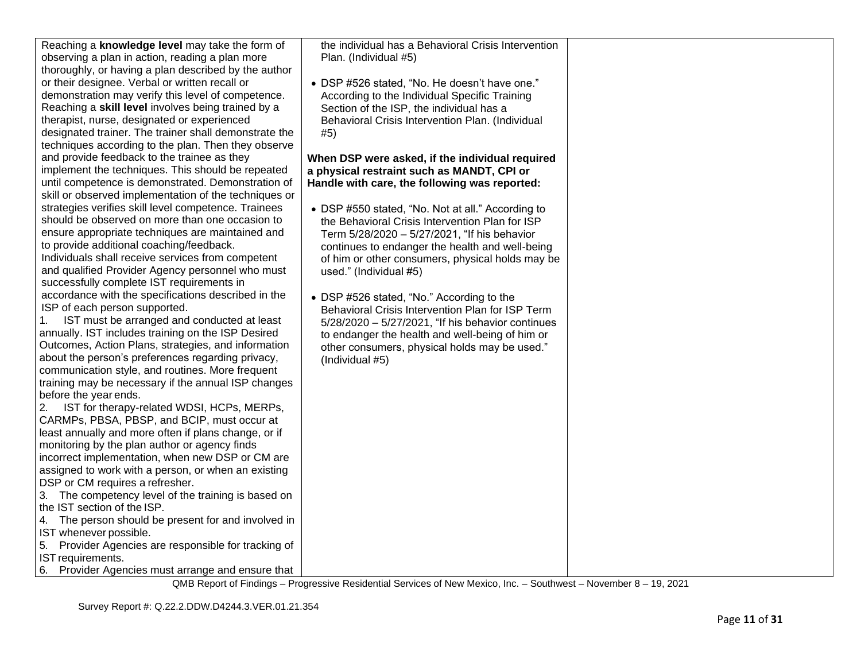| Reaching a knowledge level may take the form of<br>the individual has a Behavioral Crisis Intervention<br>observing a plan in action, reading a plan more<br>Plan. (Individual #5)<br>thoroughly, or having a plan described by the author<br>or their designee. Verbal or written recall or<br>• DSP #526 stated, "No. He doesn't have one."<br>demonstration may verify this level of competence.<br>According to the Individual Specific Training<br>Reaching a skill level involves being trained by a<br>Section of the ISP, the individual has a<br>therapist, nurse, designated or experienced<br>Behavioral Crisis Intervention Plan. (Individual<br>designated trainer. The trainer shall demonstrate the<br>#5)<br>techniques according to the plan. Then they observe<br>and provide feedback to the trainee as they<br>When DSP were asked, if the individual required<br>implement the techniques. This should be repeated<br>a physical restraint such as MANDT, CPI or<br>until competence is demonstrated. Demonstration of<br>Handle with care, the following was reported:<br>skill or observed implementation of the techniques or<br>strategies verifies skill level competence. Trainees<br>• DSP #550 stated, "No. Not at all." According to<br>should be observed on more than one occasion to<br>the Behavioral Crisis Intervention Plan for ISP<br>ensure appropriate techniques are maintained and<br>Term 5/28/2020 - 5/27/2021, "If his behavior<br>to provide additional coaching/feedback.<br>continues to endanger the health and well-being<br>Individuals shall receive services from competent<br>of him or other consumers, physical holds may be<br>and qualified Provider Agency personnel who must<br>used." (Individual #5)<br>successfully complete IST requirements in<br>accordance with the specifications described in the<br>• DSP #526 stated, "No." According to the<br>ISP of each person supported.<br>Behavioral Crisis Intervention Plan for ISP Term<br>IST must be arranged and conducted at least<br>1.<br>5/28/2020 - 5/27/2021, "If his behavior continues |  |
|--------------------------------------------------------------------------------------------------------------------------------------------------------------------------------------------------------------------------------------------------------------------------------------------------------------------------------------------------------------------------------------------------------------------------------------------------------------------------------------------------------------------------------------------------------------------------------------------------------------------------------------------------------------------------------------------------------------------------------------------------------------------------------------------------------------------------------------------------------------------------------------------------------------------------------------------------------------------------------------------------------------------------------------------------------------------------------------------------------------------------------------------------------------------------------------------------------------------------------------------------------------------------------------------------------------------------------------------------------------------------------------------------------------------------------------------------------------------------------------------------------------------------------------------------------------------------------------------------------------------------------------------------------------------------------------------------------------------------------------------------------------------------------------------------------------------------------------------------------------------------------------------------------------------------------------------------------------------------------------------------------------------------------------------------------------------------------------------------------------------|--|
| annually. IST includes training on the ISP Desired<br>to endanger the health and well-being of him or<br>Outcomes, Action Plans, strategies, and information<br>other consumers, physical holds may be used."<br>about the person's preferences regarding privacy,<br>(Individual #5)<br>communication style, and routines. More frequent<br>training may be necessary if the annual ISP changes<br>before the year ends.<br>IST for therapy-related WDSI, HCPs, MERPs,<br>2.<br>CARMPs, PBSA, PBSP, and BCIP, must occur at<br>least annually and more often if plans change, or if<br>monitoring by the plan author or agency finds<br>incorrect implementation, when new DSP or CM are<br>assigned to work with a person, or when an existing<br>DSP or CM requires a refresher.<br>3. The competency level of the training is based on<br>the IST section of the ISP.<br>4. The person should be present for and involved in<br>IST whenever possible.<br>5. Provider Agencies are responsible for tracking of                                                                                                                                                                                                                                                                                                                                                                                                                                                                                                                                                                                                                                                                                                                                                                                                                                                                                                                                                                                                                                                                                                 |  |
| IST requirements.<br>6.<br>Provider Agencies must arrange and ensure that                                                                                                                                                                                                                                                                                                                                                                                                                                                                                                                                                                                                                                                                                                                                                                                                                                                                                                                                                                                                                                                                                                                                                                                                                                                                                                                                                                                                                                                                                                                                                                                                                                                                                                                                                                                                                                                                                                                                                                                                                                          |  |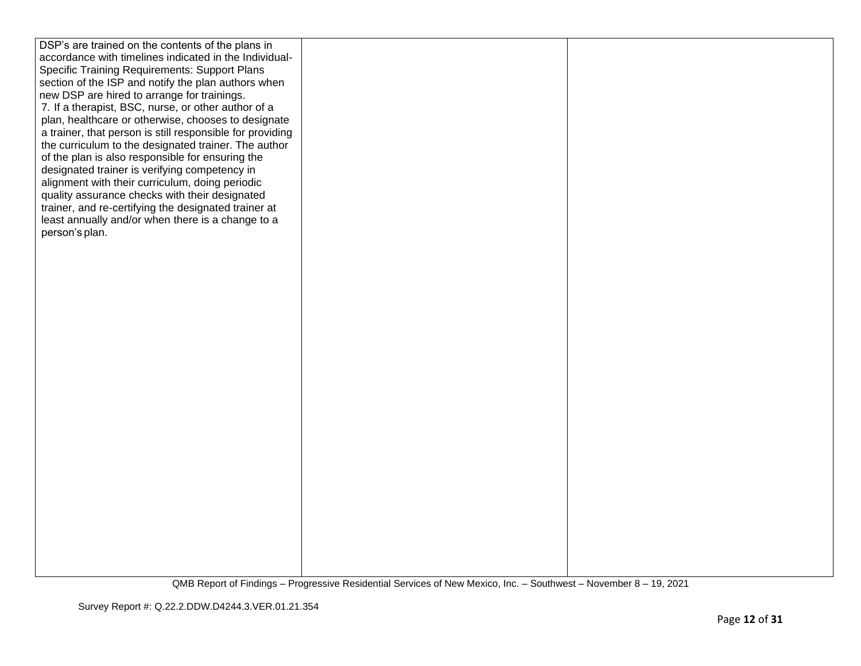| DSP's are trained on the contents of the plans in         |  |
|-----------------------------------------------------------|--|
| accordance with timelines indicated in the Individual-    |  |
| <b>Specific Training Requirements: Support Plans</b>      |  |
| section of the ISP and notify the plan authors when       |  |
| new DSP are hired to arrange for trainings.               |  |
| 7. If a therapist, BSC, nurse, or other author of a       |  |
| plan, healthcare or otherwise, chooses to designate       |  |
| a trainer, that person is still responsible for providing |  |
| the curriculum to the designated trainer. The author      |  |
| of the plan is also responsible for ensuring the          |  |
| designated trainer is verifying competency in             |  |
| alignment with their curriculum, doing periodic           |  |
| quality assurance checks with their designated            |  |
| trainer, and re-certifying the designated trainer at      |  |
| least annually and/or when there is a change to a         |  |
| person's plan.                                            |  |
|                                                           |  |
|                                                           |  |
|                                                           |  |
|                                                           |  |
|                                                           |  |
|                                                           |  |
|                                                           |  |
|                                                           |  |
|                                                           |  |
|                                                           |  |
|                                                           |  |
|                                                           |  |
|                                                           |  |
|                                                           |  |
|                                                           |  |
|                                                           |  |
|                                                           |  |
|                                                           |  |
|                                                           |  |
|                                                           |  |
|                                                           |  |
|                                                           |  |
|                                                           |  |
|                                                           |  |
|                                                           |  |
|                                                           |  |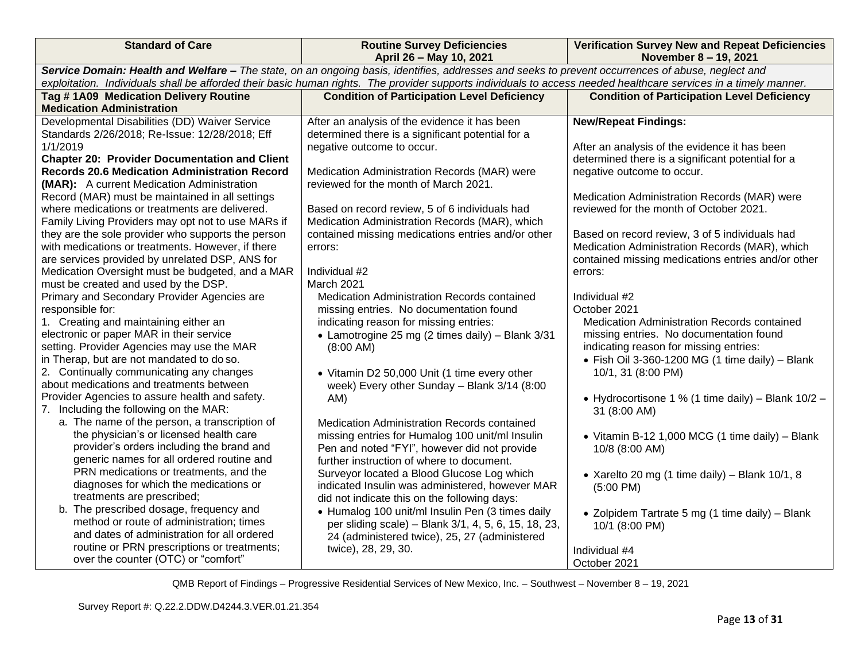| <b>Standard of Care</b>                                                                                                                                          | <b>Routine Survey Deficiencies</b><br>April 26 - May 10, 2021 | <b>Verification Survey New and Repeat Deficiencies</b><br>November 8 - 19, 2021 |  |  |  |  |
|------------------------------------------------------------------------------------------------------------------------------------------------------------------|---------------------------------------------------------------|---------------------------------------------------------------------------------|--|--|--|--|
| Service Domain: Health and Welfare - The state, on an ongoing basis, identifies, addresses and seeks to prevent occurrences of abuse, neglect and                |                                                               |                                                                                 |  |  |  |  |
| exploitation. Individuals shall be afforded their basic human rights. The provider supports individuals to access needed healthcare services in a timely manner. |                                                               |                                                                                 |  |  |  |  |
| Tag #1A09 Medication Delivery Routine                                                                                                                            | <b>Condition of Participation Level Deficiency</b>            | <b>Condition of Participation Level Deficiency</b>                              |  |  |  |  |
| <b>Medication Administration</b>                                                                                                                                 |                                                               |                                                                                 |  |  |  |  |
| Developmental Disabilities (DD) Waiver Service                                                                                                                   | After an analysis of the evidence it has been                 | <b>New/Repeat Findings:</b>                                                     |  |  |  |  |
| Standards 2/26/2018; Re-Issue: 12/28/2018; Eff                                                                                                                   | determined there is a significant potential for a             |                                                                                 |  |  |  |  |
| 1/1/2019                                                                                                                                                         | negative outcome to occur.                                    | After an analysis of the evidence it has been                                   |  |  |  |  |
| <b>Chapter 20: Provider Documentation and Client</b>                                                                                                             |                                                               | determined there is a significant potential for a                               |  |  |  |  |
| <b>Records 20.6 Medication Administration Record</b>                                                                                                             | Medication Administration Records (MAR) were                  | negative outcome to occur.                                                      |  |  |  |  |
| (MAR): A current Medication Administration                                                                                                                       | reviewed for the month of March 2021.                         |                                                                                 |  |  |  |  |
| Record (MAR) must be maintained in all settings                                                                                                                  |                                                               | Medication Administration Records (MAR) were                                    |  |  |  |  |
| where medications or treatments are delivered.                                                                                                                   | Based on record review, 5 of 6 individuals had                | reviewed for the month of October 2021.                                         |  |  |  |  |
| Family Living Providers may opt not to use MARs if                                                                                                               | Medication Administration Records (MAR), which                |                                                                                 |  |  |  |  |
| they are the sole provider who supports the person                                                                                                               | contained missing medications entries and/or other            | Based on record review, 3 of 5 individuals had                                  |  |  |  |  |
| with medications or treatments. However, if there                                                                                                                | errors:                                                       | Medication Administration Records (MAR), which                                  |  |  |  |  |
| are services provided by unrelated DSP, ANS for                                                                                                                  |                                                               | contained missing medications entries and/or other                              |  |  |  |  |
| Medication Oversight must be budgeted, and a MAR                                                                                                                 | Individual #2                                                 | errors:                                                                         |  |  |  |  |
| must be created and used by the DSP.                                                                                                                             | March 2021                                                    |                                                                                 |  |  |  |  |
| Primary and Secondary Provider Agencies are                                                                                                                      | Medication Administration Records contained                   | Individual #2                                                                   |  |  |  |  |
| responsible for:                                                                                                                                                 | missing entries. No documentation found                       | October 2021                                                                    |  |  |  |  |
| 1. Creating and maintaining either an                                                                                                                            | indicating reason for missing entries:                        | Medication Administration Records contained                                     |  |  |  |  |
| electronic or paper MAR in their service                                                                                                                         | • Lamotrogine 25 mg (2 times daily) - Blank 3/31              | missing entries. No documentation found                                         |  |  |  |  |
| setting. Provider Agencies may use the MAR                                                                                                                       | $(8:00 \text{ AM})$                                           | indicating reason for missing entries:                                          |  |  |  |  |
| in Therap, but are not mandated to do so.                                                                                                                        |                                                               | • Fish Oil 3-360-1200 MG (1 time daily) - Blank                                 |  |  |  |  |
| 2. Continually communicating any changes                                                                                                                         | • Vitamin D2 50,000 Unit (1 time every other                  | 10/1, 31 (8:00 PM)                                                              |  |  |  |  |
| about medications and treatments between                                                                                                                         | week) Every other Sunday - Blank 3/14 (8:00                   |                                                                                 |  |  |  |  |
| Provider Agencies to assure health and safety.                                                                                                                   | AM)                                                           | • Hydrocortisone 1 % (1 time daily) – Blank 10/2 –                              |  |  |  |  |
| 7. Including the following on the MAR:                                                                                                                           |                                                               | 31 (8:00 AM)                                                                    |  |  |  |  |
| a. The name of the person, a transcription of                                                                                                                    | Medication Administration Records contained                   |                                                                                 |  |  |  |  |
| the physician's or licensed health care                                                                                                                          | missing entries for Humalog 100 unit/ml Insulin               | • Vitamin B-12 1,000 MCG (1 time daily) - Blank                                 |  |  |  |  |
| provider's orders including the brand and                                                                                                                        | Pen and noted "FYI", however did not provide                  | 10/8 (8:00 AM)                                                                  |  |  |  |  |
| generic names for all ordered routine and                                                                                                                        | further instruction of where to document.                     |                                                                                 |  |  |  |  |
| PRN medications or treatments, and the                                                                                                                           | Surveyor located a Blood Glucose Log which                    | • Xarelto 20 mg (1 time daily) – Blank 10/1, 8                                  |  |  |  |  |
| diagnoses for which the medications or                                                                                                                           | indicated Insulin was administered, however MAR               | $(5:00 \text{ PM})$                                                             |  |  |  |  |
| treatments are prescribed;                                                                                                                                       | did not indicate this on the following days:                  |                                                                                 |  |  |  |  |
| b. The prescribed dosage, frequency and                                                                                                                          | · Humalog 100 unit/ml Insulin Pen (3 times daily              | • Zolpidem Tartrate 5 mg (1 time daily) - Blank                                 |  |  |  |  |
| method or route of administration; times                                                                                                                         | per sliding scale) - Blank 3/1, 4, 5, 6, 15, 18, 23,          | 10/1 (8:00 PM)                                                                  |  |  |  |  |
| and dates of administration for all ordered                                                                                                                      | 24 (administered twice), 25, 27 (administered                 |                                                                                 |  |  |  |  |
| routine or PRN prescriptions or treatments;                                                                                                                      | twice), 28, 29, 30.                                           | Individual #4                                                                   |  |  |  |  |
| over the counter (OTC) or "comfort"                                                                                                                              |                                                               | October 2021                                                                    |  |  |  |  |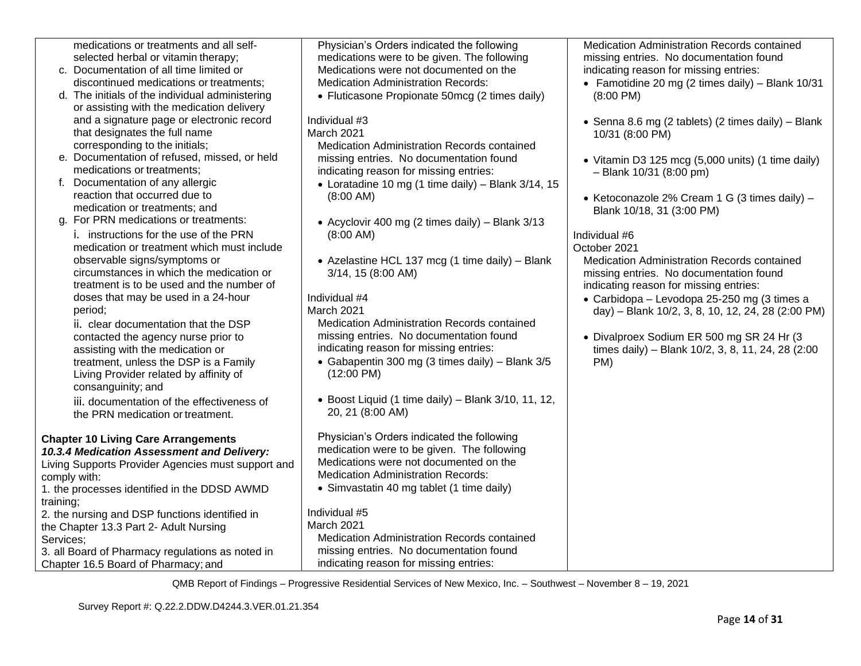|           | medications or treatments and all self-            | Physician's Orders indicated the following            | Medication Administration Records contained        |
|-----------|----------------------------------------------------|-------------------------------------------------------|----------------------------------------------------|
|           | selected herbal or vitamin therapy;                | medications were to be given. The following           | missing entries. No documentation found            |
|           | c. Documentation of all time limited or            | Medications were not documented on the                | indicating reason for missing entries:             |
|           | discontinued medications or treatments;            | <b>Medication Administration Records:</b>             | • Famotidine 20 mg (2 times daily) – Blank $10/31$ |
|           | d. The initials of the individual administering    | • Fluticasone Propionate 50mcg (2 times daily)        | $(8:00 \text{ PM})$                                |
|           | or assisting with the medication delivery          |                                                       |                                                    |
|           | and a signature page or electronic record          | Individual #3                                         | • Senna 8.6 mg (2 tablets) (2 times daily) - Blank |
|           | that designates the full name                      | March 2021                                            | 10/31 (8:00 PM)                                    |
|           | corresponding to the initials;                     | Medication Administration Records contained           |                                                    |
|           | e. Documentation of refused, missed, or held       | missing entries. No documentation found               | • Vitamin D3 125 mcg (5,000 units) (1 time daily)  |
|           | medications or treatments;                         | indicating reason for missing entries:                | $-$ Blank 10/31 (8:00 pm)                          |
|           | f. Documentation of any allergic                   | • Loratadine 10 mg (1 time daily) – Blank $3/14$ , 15 |                                                    |
|           | reaction that occurred due to                      | $(8:00 \text{ AM})$                                   | • Ketoconazole 2% Cream 1 G (3 times daily) -      |
|           | medication or treatments: and                      |                                                       | Blank 10/18, 31 (3:00 PM)                          |
|           | g. For PRN medications or treatments:              | • Acyclovir 400 mg (2 times daily) - Blank 3/13       |                                                    |
|           | i. instructions for the use of the PRN             | $(8:00 \text{ AM})$                                   | Individual #6                                      |
|           | medication or treatment which must include         |                                                       | October 2021                                       |
|           | observable signs/symptoms or                       | • Azelastine HCL 137 mcg (1 time daily) - Blank       | <b>Medication Administration Records contained</b> |
|           | circumstances in which the medication or           | 3/14, 15 (8:00 AM)                                    | missing entries. No documentation found            |
|           | treatment is to be used and the number of          |                                                       | indicating reason for missing entries:             |
|           | doses that may be used in a 24-hour                | Individual #4                                         | • Carbidopa - Levodopa 25-250 mg (3 times a        |
|           | period;                                            | March 2021                                            | day) - Blank 10/2, 3, 8, 10, 12, 24, 28 (2:00 PM)  |
|           | ii. clear documentation that the DSP               | Medication Administration Records contained           |                                                    |
|           | contacted the agency nurse prior to                | missing entries. No documentation found               | • Divalproex Sodium ER 500 mg SR 24 Hr (3          |
|           | assisting with the medication or                   | indicating reason for missing entries:                | times daily) - Blank 10/2, 3, 8, 11, 24, 28 (2:00  |
|           | treatment, unless the DSP is a Family              | • Gabapentin 300 mg (3 times daily) - Blank 3/5       | PM)                                                |
|           | Living Provider related by affinity of             | $(12:00 \text{ PM})$                                  |                                                    |
|           | consanguinity; and                                 |                                                       |                                                    |
|           | iii. documentation of the effectiveness of         | • Boost Liquid (1 time daily) - Blank 3/10, 11, 12,   |                                                    |
|           | the PRN medication or treatment.                   | 20, 21 (8:00 AM)                                      |                                                    |
|           |                                                    |                                                       |                                                    |
|           | <b>Chapter 10 Living Care Arrangements</b>         | Physician's Orders indicated the following            |                                                    |
|           | 10.3.4 Medication Assessment and Delivery:         | medication were to be given. The following            |                                                    |
|           | Living Supports Provider Agencies must support and | Medications were not documented on the                |                                                    |
|           | comply with:                                       | <b>Medication Administration Records:</b>             |                                                    |
|           | 1. the processes identified in the DDSD AWMD       | • Simvastatin 40 mg tablet (1 time daily)             |                                                    |
| training; |                                                    |                                                       |                                                    |
|           | 2. the nursing and DSP functions identified in     | Individual #5                                         |                                                    |
|           | the Chapter 13.3 Part 2- Adult Nursing             | <b>March 2021</b>                                     |                                                    |
| Services; |                                                    | Medication Administration Records contained           |                                                    |
|           | 3. all Board of Pharmacy regulations as noted in   | missing entries. No documentation found               |                                                    |
|           | Chapter 16.5 Board of Pharmacy; and                | indicating reason for missing entries:                |                                                    |
|           |                                                    |                                                       |                                                    |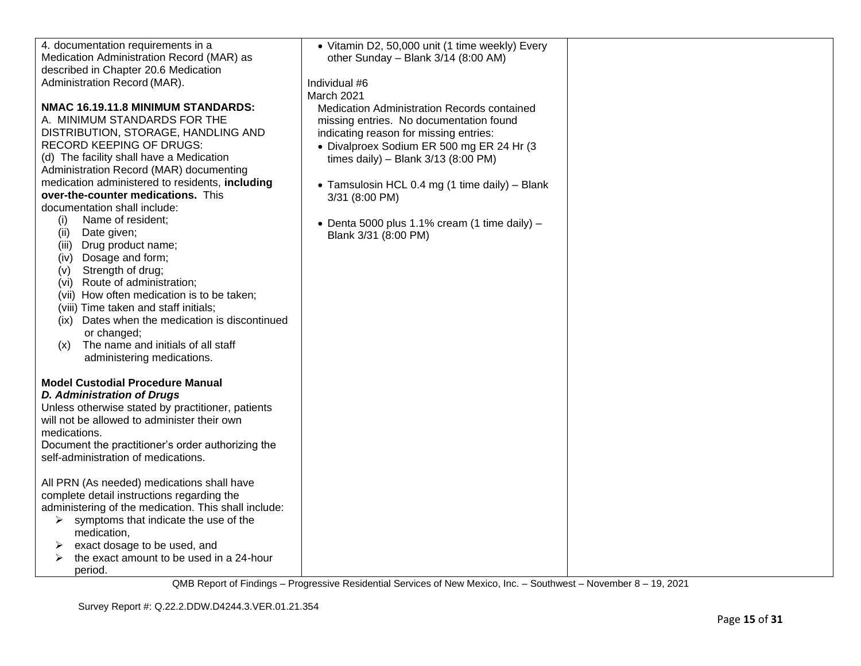| 4. documentation requirements in a                   | • Vitamin D2, 50,000 unit (1 time weekly) Every |  |
|------------------------------------------------------|-------------------------------------------------|--|
| Medication Administration Record (MAR) as            | other Sunday - Blank 3/14 (8:00 AM)             |  |
| described in Chapter 20.6 Medication                 |                                                 |  |
| Administration Record (MAR).                         | Individual #6                                   |  |
|                                                      |                                                 |  |
|                                                      | March 2021                                      |  |
| NMAC 16.19.11.8 MINIMUM STANDARDS:                   | Medication Administration Records contained     |  |
| A. MINIMUM STANDARDS FOR THE                         | missing entries. No documentation found         |  |
| DISTRIBUTION, STORAGE, HANDLING AND                  | indicating reason for missing entries:          |  |
| RECORD KEEPING OF DRUGS:                             | • Divalproex Sodium ER 500 mg ER 24 Hr (3       |  |
| (d) The facility shall have a Medication             | times daily) - Blank $3/13$ (8:00 PM)           |  |
| Administration Record (MAR) documenting              |                                                 |  |
| medication administered to residents, including      | • Tamsulosin HCL 0.4 mg (1 time daily) - Blank  |  |
| over-the-counter medications. This                   | 3/31 (8:00 PM)                                  |  |
| documentation shall include:                         |                                                 |  |
| Name of resident;<br>(i)                             |                                                 |  |
| Date given;<br>(ii)                                  | • Denta 5000 plus 1.1% cream (1 time daily) $-$ |  |
| (iii) Drug product name;                             | Blank 3/31 (8:00 PM)                            |  |
| (iv) Dosage and form;                                |                                                 |  |
| Strength of drug;                                    |                                                 |  |
| (V)                                                  |                                                 |  |
| (vi) Route of administration;                        |                                                 |  |
| (vii) How often medication is to be taken;           |                                                 |  |
| (viii) Time taken and staff initials;                |                                                 |  |
| (ix) Dates when the medication is discontinued       |                                                 |  |
| or changed;                                          |                                                 |  |
| The name and initials of all staff<br>(x)            |                                                 |  |
| administering medications.                           |                                                 |  |
|                                                      |                                                 |  |
| <b>Model Custodial Procedure Manual</b>              |                                                 |  |
| <b>D. Administration of Drugs</b>                    |                                                 |  |
| Unless otherwise stated by practitioner, patients    |                                                 |  |
| will not be allowed to administer their own          |                                                 |  |
| medications.                                         |                                                 |  |
| Document the practitioner's order authorizing the    |                                                 |  |
| self-administration of medications.                  |                                                 |  |
|                                                      |                                                 |  |
| All PRN (As needed) medications shall have           |                                                 |  |
| complete detail instructions regarding the           |                                                 |  |
| administering of the medication. This shall include: |                                                 |  |
| symptoms that indicate the use of the<br>➤           |                                                 |  |
| medication,                                          |                                                 |  |
| exact dosage to be used, and<br>➤                    |                                                 |  |
| the exact amount to be used in a 24-hour             |                                                 |  |
|                                                      |                                                 |  |
| period.                                              |                                                 |  |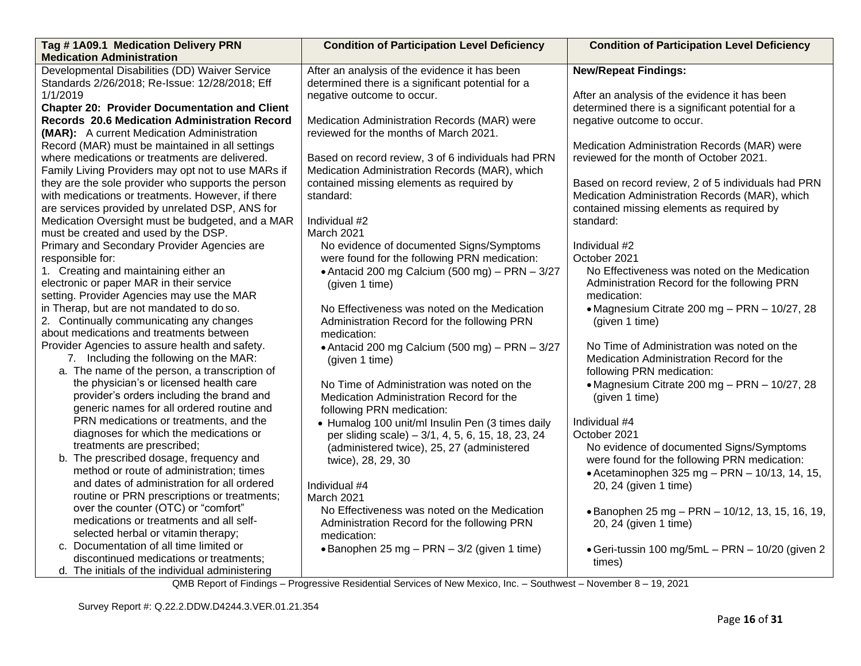| Tag #1A09.1 Medication Delivery PRN                                              | <b>Condition of Participation Level Deficiency</b> | <b>Condition of Participation Level Deficiency</b> |
|----------------------------------------------------------------------------------|----------------------------------------------------|----------------------------------------------------|
| <b>Medication Administration</b>                                                 |                                                    |                                                    |
| Developmental Disabilities (DD) Waiver Service                                   | After an analysis of the evidence it has been      | <b>New/Repeat Findings:</b>                        |
| Standards 2/26/2018; Re-Issue: 12/28/2018; Eff                                   | determined there is a significant potential for a  |                                                    |
| 1/1/2019                                                                         | negative outcome to occur.                         | After an analysis of the evidence it has been      |
| <b>Chapter 20: Provider Documentation and Client</b>                             |                                                    | determined there is a significant potential for a  |
| Records 20.6 Medication Administration Record                                    | Medication Administration Records (MAR) were       | negative outcome to occur.                         |
| (MAR): A current Medication Administration                                       | reviewed for the months of March 2021.             |                                                    |
| Record (MAR) must be maintained in all settings                                  |                                                    | Medication Administration Records (MAR) were       |
| where medications or treatments are delivered.                                   | Based on record review, 3 of 6 individuals had PRN | reviewed for the month of October 2021.            |
| Family Living Providers may opt not to use MARs if                               | Medication Administration Records (MAR), which     |                                                    |
| they are the sole provider who supports the person                               | contained missing elements as required by          | Based on record review, 2 of 5 individuals had PRN |
| with medications or treatments. However, if there                                | standard:                                          | Medication Administration Records (MAR), which     |
| are services provided by unrelated DSP, ANS for                                  |                                                    | contained missing elements as required by          |
| Medication Oversight must be budgeted, and a MAR                                 | Individual #2                                      | standard:                                          |
| must be created and used by the DSP.                                             | March 2021                                         |                                                    |
| Primary and Secondary Provider Agencies are                                      | No evidence of documented Signs/Symptoms           | Individual #2                                      |
| responsible for:                                                                 | were found for the following PRN medication:       | October 2021                                       |
| 1. Creating and maintaining either an                                            | • Antacid 200 mg Calcium (500 mg) - PRN - 3/27     | No Effectiveness was noted on the Medication       |
| electronic or paper MAR in their service                                         | (given 1 time)                                     | Administration Record for the following PRN        |
| setting. Provider Agencies may use the MAR                                       |                                                    | medication:                                        |
| in Therap, but are not mandated to do so.                                        | No Effectiveness was noted on the Medication       | • Magnesium Citrate 200 mg - PRN - 10/27, 28       |
| 2. Continually communicating any changes                                         | Administration Record for the following PRN        | (given 1 time)                                     |
| about medications and treatments between                                         | medication:                                        |                                                    |
| Provider Agencies to assure health and safety.                                   | • Antacid 200 mg Calcium (500 mg) - PRN - $3/27$   | No Time of Administration was noted on the         |
| 7. Including the following on the MAR:                                           | (given 1 time)                                     | Medication Administration Record for the           |
| a. The name of the person, a transcription of                                    |                                                    | following PRN medication:                          |
| the physician's or licensed health care                                          | No Time of Administration was noted on the         | • Magnesium Citrate 200 mg - PRN - 10/27, 28       |
| provider's orders including the brand and                                        | Medication Administration Record for the           | (given 1 time)                                     |
| generic names for all ordered routine and                                        | following PRN medication:                          |                                                    |
| PRN medications or treatments, and the<br>diagnoses for which the medications or | • Humalog 100 unit/ml Insulin Pen (3 times daily   | Individual #4                                      |
| treatments are prescribed;                                                       | per sliding scale) - 3/1, 4, 5, 6, 15, 18, 23, 24  | October 2021                                       |
| b. The prescribed dosage, frequency and                                          | (administered twice), 25, 27 (administered         | No evidence of documented Signs/Symptoms           |
| method or route of administration; times                                         | twice), 28, 29, 30                                 | were found for the following PRN medication:       |
| and dates of administration for all ordered                                      |                                                    | • Acetaminophen 325 mg - PRN - 10/13, 14, 15,      |
| routine or PRN prescriptions or treatments;                                      | Individual #4                                      | 20, 24 (given 1 time)                              |
| over the counter (OTC) or "comfort"                                              | March 2021                                         |                                                    |
| medications or treatments and all self-                                          | No Effectiveness was noted on the Medication       | • Banophen 25 mg - PRN - 10/12, 13, 15, 16, 19,    |
| selected herbal or vitamin therapy;                                              | Administration Record for the following PRN        | 20, 24 (given 1 time)                              |
| c. Documentation of all time limited or                                          | medication:                                        |                                                    |
| discontinued medications or treatments;                                          | • Banophen 25 mg - PRN - 3/2 (given 1 time)        | • Geri-tussin 100 mg/5mL - PRN - 10/20 (given 2    |
| d. The initials of the individual administering                                  |                                                    | times)                                             |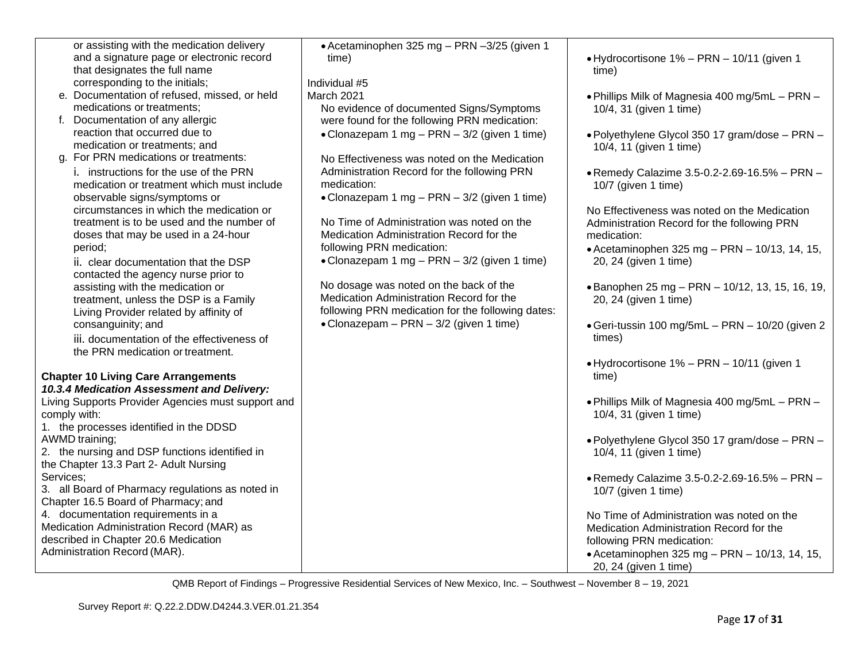|           | or assisting with the medication delivery          | • Acetaminophen 325 mg - PRN -3/25 (given 1       |                                                  |
|-----------|----------------------------------------------------|---------------------------------------------------|--------------------------------------------------|
|           | and a signature page or electronic record          | time)                                             | • Hydrocortisone 1% - PRN - 10/11 (given 1       |
|           | that designates the full name                      |                                                   | time)                                            |
|           | corresponding to the initials;                     | Individual #5                                     |                                                  |
|           | e. Documentation of refused, missed, or held       | March 2021                                        | . Phillips Milk of Magnesia 400 mg/5mL - PRN -   |
|           | medications or treatments;                         | No evidence of documented Signs/Symptoms          | 10/4, 31 (given 1 time)                          |
|           | f. Documentation of any allergic                   | were found for the following PRN medication:      |                                                  |
|           | reaction that occurred due to                      | • Clonazepam 1 mg - PRN - 3/2 (given 1 time)      | • Polyethylene Glycol 350 17 gram/dose - PRN -   |
|           | medication or treatments; and                      |                                                   | 10/4, 11 (given 1 time)                          |
|           | g. For PRN medications or treatments:              | No Effectiveness was noted on the Medication      |                                                  |
|           | i. instructions for the use of the PRN             | Administration Record for the following PRN       | • Remedy Calazime 3.5-0.2-2.69-16.5% - PRN -     |
|           | medication or treatment which must include         | medication:                                       | 10/7 (given 1 time)                              |
|           | observable signs/symptoms or                       | • Clonazepam 1 mg - PRN - 3/2 (given 1 time)      |                                                  |
|           | circumstances in which the medication or           |                                                   | No Effectiveness was noted on the Medication     |
|           | treatment is to be used and the number of          | No Time of Administration was noted on the        | Administration Record for the following PRN      |
|           | doses that may be used in a 24-hour                | Medication Administration Record for the          | medication:                                      |
|           | period;                                            | following PRN medication:                         | • Acetaminophen 325 mg - PRN - $10/13$ , 14, 15, |
|           | ii. clear documentation that the DSP               | • Clonazepam 1 mg - PRN - 3/2 (given 1 time)      | 20, 24 (given 1 time)                            |
|           | contacted the agency nurse prior to                |                                                   |                                                  |
|           | assisting with the medication or                   | No dosage was noted on the back of the            | • Banophen 25 mg - PRN - 10/12, 13, 15, 16, 19,  |
|           | treatment, unless the DSP is a Family              | Medication Administration Record for the          | 20, 24 (given 1 time)                            |
|           | Living Provider related by affinity of             | following PRN medication for the following dates: |                                                  |
|           | consanguinity; and                                 | • Clonazepam - PRN - 3/2 (given 1 time)           | • Geri-tussin 100 mg/5mL - PRN - 10/20 (given 2  |
|           | iii. documentation of the effectiveness of         |                                                   | times)                                           |
|           | the PRN medication or treatment.                   |                                                   |                                                  |
|           |                                                    |                                                   | • Hydrocortisone 1% - PRN - 10/11 (given 1       |
|           | <b>Chapter 10 Living Care Arrangements</b>         |                                                   | time)                                            |
|           | 10.3.4 Medication Assessment and Delivery:         |                                                   |                                                  |
|           | Living Supports Provider Agencies must support and |                                                   | . Phillips Milk of Magnesia 400 mg/5mL - PRN -   |
|           | comply with:                                       |                                                   | 10/4, 31 (given 1 time)                          |
|           | 1. the processes identified in the DDSD            |                                                   |                                                  |
|           | AWMD training;                                     |                                                   | . Polyethylene Glycol 350 17 gram/dose - PRN -   |
|           | 2. the nursing and DSP functions identified in     |                                                   | 10/4, 11 (given 1 time)                          |
|           | the Chapter 13.3 Part 2- Adult Nursing             |                                                   |                                                  |
| Services: |                                                    |                                                   | • Remedy Calazime 3.5-0.2-2.69-16.5% - PRN -     |
|           | 3. all Board of Pharmacy regulations as noted in   |                                                   | 10/7 (given 1 time)                              |
|           | Chapter 16.5 Board of Pharmacy; and                |                                                   |                                                  |
|           | 4. documentation requirements in a                 |                                                   | No Time of Administration was noted on the       |
|           | Medication Administration Record (MAR) as          |                                                   | Medication Administration Record for the         |
|           | described in Chapter 20.6 Medication               |                                                   | following PRN medication:                        |
|           | Administration Record (MAR).                       |                                                   | • Acetaminophen 325 mg - PRN - 10/13, 14, 15,    |

20, 24 (given 1 time)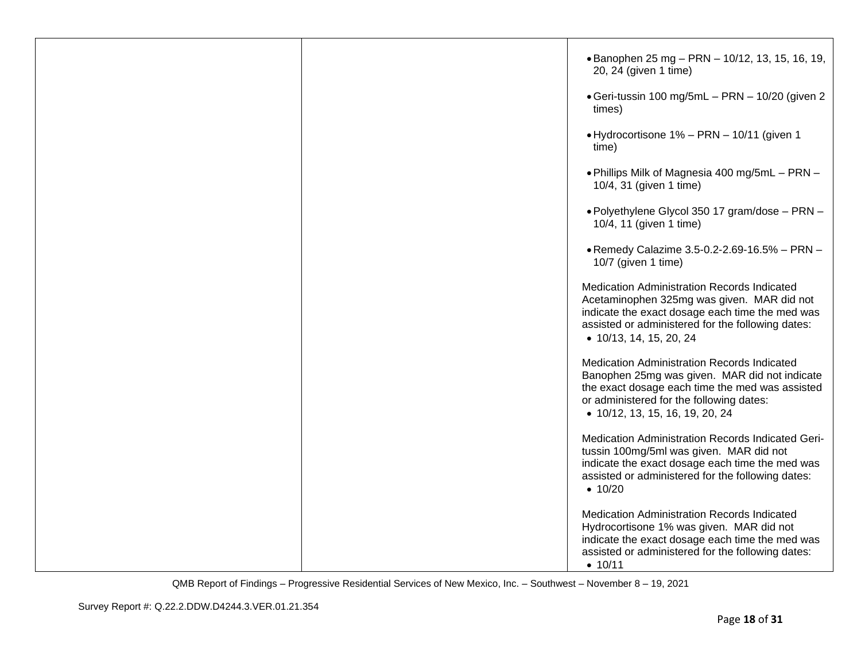|  | • Banophen 25 mg - PRN - 10/12, 13, 15, 16, 19,<br>20, 24 (given 1 time)                                                                                                                                                       |
|--|--------------------------------------------------------------------------------------------------------------------------------------------------------------------------------------------------------------------------------|
|  | • Geri-tussin 100 mg/5mL - PRN - 10/20 (given 2<br>times)                                                                                                                                                                      |
|  | • Hydrocortisone 1% - PRN - 10/11 (given 1<br>time)                                                                                                                                                                            |
|  | . Phillips Milk of Magnesia 400 mg/5mL - PRN -<br>10/4, 31 (given 1 time)                                                                                                                                                      |
|  | • Polyethylene Glycol 350 17 gram/dose - PRN -<br>10/4, 11 (given 1 time)                                                                                                                                                      |
|  | . Remedy Calazime 3.5-0.2-2.69-16.5% - PRN -<br>10/7 (given 1 time)                                                                                                                                                            |
|  | Medication Administration Records Indicated<br>Acetaminophen 325mg was given. MAR did not<br>indicate the exact dosage each time the med was<br>assisted or administered for the following dates:<br>• 10/13, 14, 15, 20, 24   |
|  | Medication Administration Records Indicated<br>Banophen 25mg was given. MAR did not indicate<br>the exact dosage each time the med was assisted<br>or administered for the following dates:<br>• 10/12, 13, 15, 16, 19, 20, 24 |
|  | Medication Administration Records Indicated Geri-<br>tussin 100mg/5ml was given. MAR did not<br>indicate the exact dosage each time the med was<br>assisted or administered for the following dates:<br>• 10/20                |
|  | Medication Administration Records Indicated<br>Hydrocortisone 1% was given. MAR did not<br>indicate the exact dosage each time the med was<br>assisted or administered for the following dates:<br>• 10/11                     |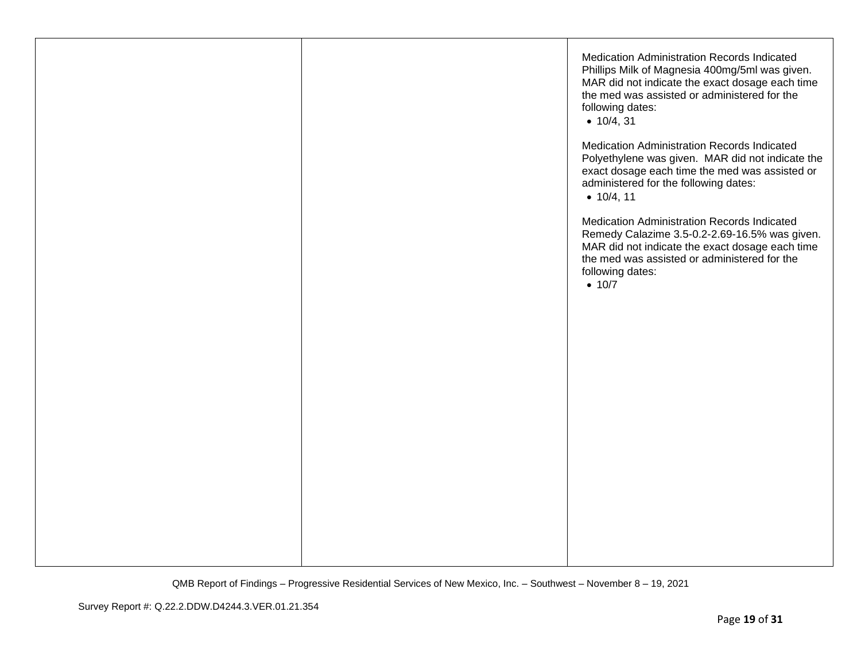|  | Medication Administration Records Indicated<br>Phillips Milk of Magnesia 400mg/5ml was given.<br>MAR did not indicate the exact dosage each time<br>the med was assisted or administered for the<br>following dates:<br>• 10/4, 31 |
|--|------------------------------------------------------------------------------------------------------------------------------------------------------------------------------------------------------------------------------------|
|  | Medication Administration Records Indicated<br>Polyethylene was given. MAR did not indicate the<br>exact dosage each time the med was assisted or<br>administered for the following dates:<br>• 10/4, 11                           |
|  | Medication Administration Records Indicated<br>Remedy Calazime 3.5-0.2-2.69-16.5% was given.<br>MAR did not indicate the exact dosage each time<br>the med was assisted or administered for the<br>following dates:<br>• 10/7      |
|  |                                                                                                                                                                                                                                    |
|  |                                                                                                                                                                                                                                    |
|  |                                                                                                                                                                                                                                    |
|  |                                                                                                                                                                                                                                    |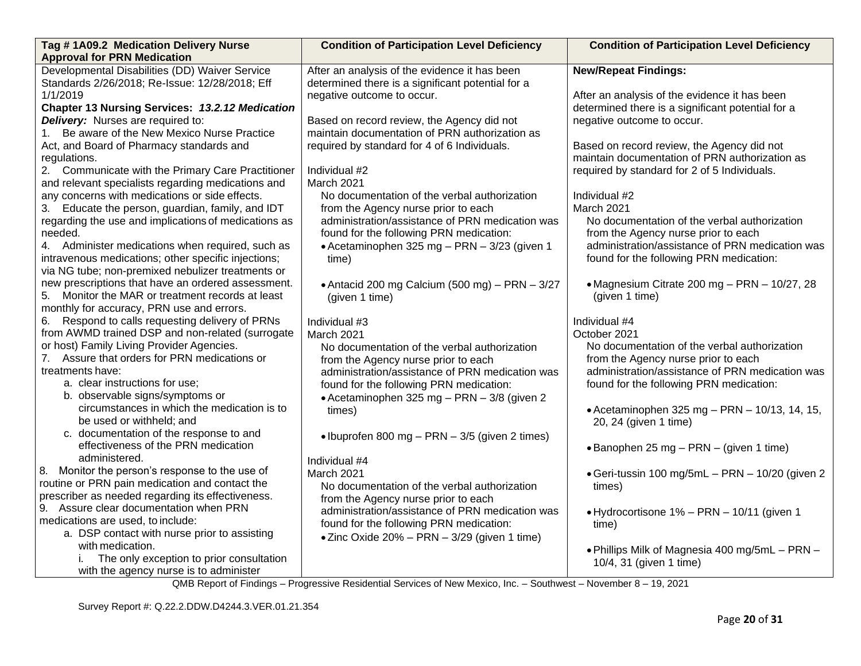| Tag #1A09.2 Medication Delivery Nurse                | <b>Condition of Participation Level Deficiency</b>   | <b>Condition of Participation Level Deficiency</b> |
|------------------------------------------------------|------------------------------------------------------|----------------------------------------------------|
| <b>Approval for PRN Medication</b>                   |                                                      |                                                    |
| Developmental Disabilities (DD) Waiver Service       | After an analysis of the evidence it has been        | <b>New/Repeat Findings:</b>                        |
| Standards 2/26/2018; Re-Issue: 12/28/2018; Eff       | determined there is a significant potential for a    |                                                    |
| 1/1/2019                                             | negative outcome to occur.                           | After an analysis of the evidence it has been      |
| Chapter 13 Nursing Services: 13.2.12 Medication      |                                                      | determined there is a significant potential for a  |
| Delivery: Nurses are required to:                    | Based on record review, the Agency did not           | negative outcome to occur.                         |
| 1. Be aware of the New Mexico Nurse Practice         | maintain documentation of PRN authorization as       |                                                    |
| Act, and Board of Pharmacy standards and             | required by standard for 4 of 6 Individuals.         | Based on record review, the Agency did not         |
| regulations.                                         |                                                      | maintain documentation of PRN authorization as     |
| 2. Communicate with the Primary Care Practitioner    | Individual #2                                        | required by standard for 2 of 5 Individuals.       |
| and relevant specialists regarding medications and   | March 2021                                           |                                                    |
| any concerns with medications or side effects.       | No documentation of the verbal authorization         | Individual #2                                      |
| 3. Educate the person, guardian, family, and IDT     | from the Agency nurse prior to each                  | March 2021                                         |
| regarding the use and implications of medications as | administration/assistance of PRN medication was      | No documentation of the verbal authorization       |
| needed.                                              | found for the following PRN medication:              | from the Agency nurse prior to each                |
| 4. Administer medications when required, such as     | • Acetaminophen 325 mg - PRN - 3/23 (given 1         | administration/assistance of PRN medication was    |
| intravenous medications; other specific injections;  | time)                                                | found for the following PRN medication:            |
| via NG tube; non-premixed nebulizer treatments or    |                                                      |                                                    |
| new prescriptions that have an ordered assessment.   | • Antacid 200 mg Calcium (500 mg) - PRN - 3/27       | • Magnesium Citrate 200 mg - PRN - 10/27, 28       |
| Monitor the MAR or treatment records at least<br>5.  | (given 1 time)                                       | (given 1 time)                                     |
| monthly for accuracy, PRN use and errors.            |                                                      |                                                    |
| 6. Respond to calls requesting delivery of PRNs      | Individual #3                                        | Individual #4                                      |
| from AWMD trained DSP and non-related (surrogate     | March 2021                                           | October 2021                                       |
| or host) Family Living Provider Agencies.            | No documentation of the verbal authorization         | No documentation of the verbal authorization       |
| 7. Assure that orders for PRN medications or         | from the Agency nurse prior to each                  | from the Agency nurse prior to each                |
| treatments have:                                     | administration/assistance of PRN medication was      | administration/assistance of PRN medication was    |
| a. clear instructions for use;                       | found for the following PRN medication:              | found for the following PRN medication:            |
| b. observable signs/symptoms or                      | • Acetaminophen 325 mg - PRN - 3/8 (given 2)         |                                                    |
| circumstances in which the medication is to          | times)                                               | • Acetaminophen 325 mg - PRN - $10/13$ , 14, 15,   |
| be used or withheld; and                             |                                                      | 20, 24 (given 1 time)                              |
| c. documentation of the response to and              | • Ibuprofen 800 mg – PRN – 3/5 (given 2 times)       |                                                    |
| effectiveness of the PRN medication                  |                                                      | • Banophen 25 mg – PRN – (given 1 time)            |
| administered.                                        | Individual #4                                        |                                                    |
| 8. Monitor the person's response to the use of       | March 2021                                           | • Geri-tussin 100 mg/5mL - PRN - 10/20 (given 2    |
| routine or PRN pain medication and contact the       | No documentation of the verbal authorization         | times)                                             |
| prescriber as needed regarding its effectiveness.    | from the Agency nurse prior to each                  |                                                    |
| 9. Assure clear documentation when PRN               | administration/assistance of PRN medication was      | • Hydrocortisone 1% - PRN - 10/11 (given 1         |
| medications are used, to include:                    | found for the following PRN medication:              |                                                    |
| a. DSP contact with nurse prior to assisting         |                                                      | time)                                              |
| with medication.                                     | $\bullet$ Zinc Oxide 20% – PRN – 3/29 (given 1 time) |                                                    |
| The only exception to prior consultation             |                                                      | . Phillips Milk of Magnesia 400 mg/5mL - PRN -     |
| with the agency nurse is to administer               |                                                      | 10/4, 31 (given 1 time)                            |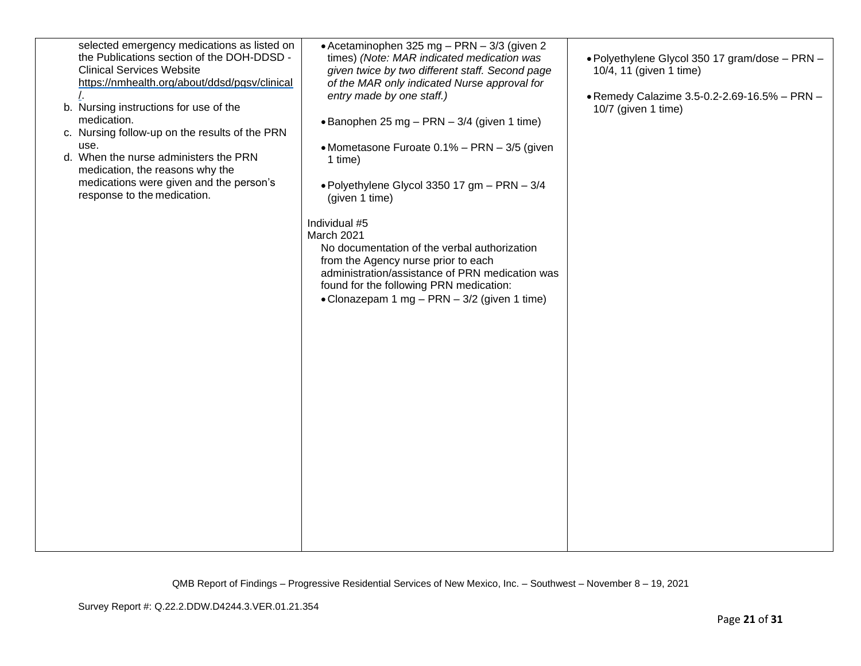| selected emergency medications as listed on<br>the Publications section of the DOH-DDSD -<br><b>Clinical Services Website</b><br>https://nmhealth.org/about/ddsd/pgsv/clinical<br>b. Nursing instructions for use of the<br>medication.<br>c. Nursing follow-up on the results of the PRN<br>use.<br>d. When the nurse administers the PRN<br>medication, the reasons why the<br>medications were given and the person's<br>response to the medication. | • Acetaminophen 325 mg - PRN - 3/3 (given 2<br>times) (Note: MAR indicated medication was<br>given twice by two different staff. Second page<br>of the MAR only indicated Nurse approval for<br>entry made by one staff.)<br>• Banophen 25 mg – PRN – $3/4$ (given 1 time)<br>• Mometasone Furoate 0.1% - PRN - 3/5 (given<br>1 time)<br>• Polyethylene Glycol 3350 17 gm - PRN - 3/4<br>(given 1 time)<br>Individual #5<br>March 2021<br>No documentation of the verbal authorization<br>from the Agency nurse prior to each<br>administration/assistance of PRN medication was<br>found for the following PRN medication:<br>• Clonazepam 1 mg - PRN - 3/2 (given 1 time) | • Polyethylene Glycol 350 17 gram/dose - PRN -<br>10/4, 11 (given 1 time)<br>• Remedy Calazime 3.5-0.2-2.69-16.5% - PRN -<br>10/7 (given 1 time) |
|---------------------------------------------------------------------------------------------------------------------------------------------------------------------------------------------------------------------------------------------------------------------------------------------------------------------------------------------------------------------------------------------------------------------------------------------------------|-----------------------------------------------------------------------------------------------------------------------------------------------------------------------------------------------------------------------------------------------------------------------------------------------------------------------------------------------------------------------------------------------------------------------------------------------------------------------------------------------------------------------------------------------------------------------------------------------------------------------------------------------------------------------------|--------------------------------------------------------------------------------------------------------------------------------------------------|
|---------------------------------------------------------------------------------------------------------------------------------------------------------------------------------------------------------------------------------------------------------------------------------------------------------------------------------------------------------------------------------------------------------------------------------------------------------|-----------------------------------------------------------------------------------------------------------------------------------------------------------------------------------------------------------------------------------------------------------------------------------------------------------------------------------------------------------------------------------------------------------------------------------------------------------------------------------------------------------------------------------------------------------------------------------------------------------------------------------------------------------------------------|--------------------------------------------------------------------------------------------------------------------------------------------------|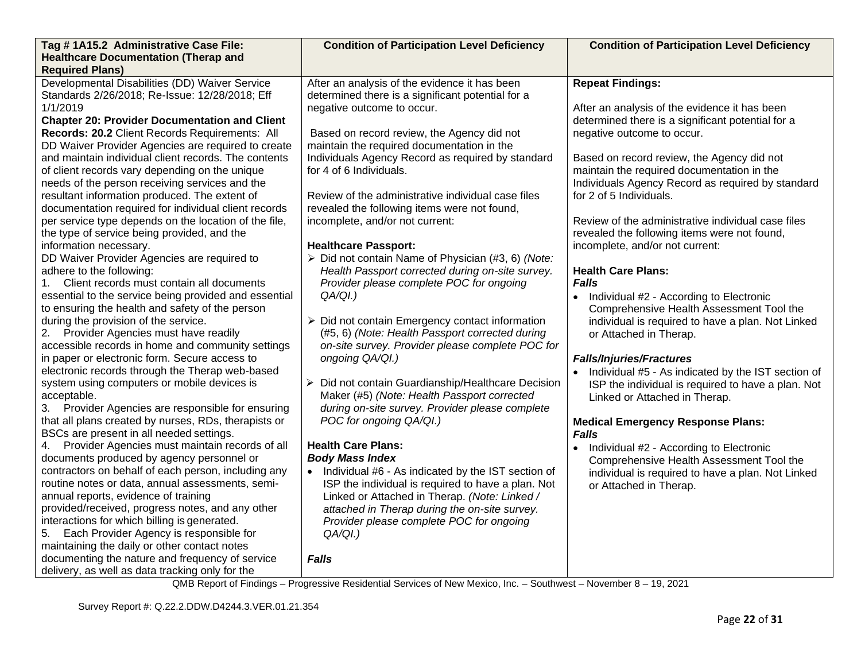| Tag #1A15.2 Administrative Case File:                 | <b>Condition of Participation Level Deficiency</b> | <b>Condition of Participation Level Deficiency</b>   |
|-------------------------------------------------------|----------------------------------------------------|------------------------------------------------------|
| <b>Healthcare Documentation (Therap and</b>           |                                                    |                                                      |
| <b>Required Plans)</b>                                |                                                    |                                                      |
| Developmental Disabilities (DD) Waiver Service        | After an analysis of the evidence it has been      | <b>Repeat Findings:</b>                              |
| Standards 2/26/2018; Re-Issue: 12/28/2018; Eff        | determined there is a significant potential for a  |                                                      |
| 1/1/2019                                              | negative outcome to occur.                         | After an analysis of the evidence it has been        |
| <b>Chapter 20: Provider Documentation and Client</b>  |                                                    | determined there is a significant potential for a    |
| Records: 20.2 Client Records Requirements: All        | Based on record review, the Agency did not         | negative outcome to occur.                           |
| DD Waiver Provider Agencies are required to create    | maintain the required documentation in the         |                                                      |
| and maintain individual client records. The contents  | Individuals Agency Record as required by standard  | Based on record review, the Agency did not           |
| of client records vary depending on the unique        | for 4 of 6 Individuals.                            | maintain the required documentation in the           |
| needs of the person receiving services and the        |                                                    | Individuals Agency Record as required by standard    |
| resultant information produced. The extent of         | Review of the administrative individual case files | for 2 of 5 Individuals.                              |
| documentation required for individual client records  | revealed the following items were not found,       |                                                      |
| per service type depends on the location of the file, | incomplete, and/or not current:                    | Review of the administrative individual case files   |
| the type of service being provided, and the           |                                                    | revealed the following items were not found,         |
| information necessary.                                | <b>Healthcare Passport:</b>                        | incomplete, and/or not current:                      |
| DD Waiver Provider Agencies are required to           | > Did not contain Name of Physician (#3, 6) (Note: |                                                      |
| adhere to the following:                              | Health Passport corrected during on-site survey.   | <b>Health Care Plans:</b>                            |
| 1. Client records must contain all documents          | Provider please complete POC for ongoing           | <b>Falls</b>                                         |
| essential to the service being provided and essential | QA/QI.)                                            | • Individual #2 - According to Electronic            |
| to ensuring the health and safety of the person       |                                                    | Comprehensive Health Assessment Tool the             |
| during the provision of the service.                  | > Did not contain Emergency contact information    | individual is required to have a plan. Not Linked    |
| 2. Provider Agencies must have readily                | (#5, 6) (Note: Health Passport corrected during    | or Attached in Therap.                               |
| accessible records in home and community settings     | on-site survey. Provider please complete POC for   |                                                      |
| in paper or electronic form. Secure access to         | ongoing QA/QI.)                                    | <b>Falls/Injuries/Fractures</b>                      |
| electronic records through the Therap web-based       |                                                    | • Individual #5 - As indicated by the IST section of |
| system using computers or mobile devices is           | Did not contain Guardianship/Healthcare Decision   | ISP the individual is required to have a plan. Not   |
| acceptable.                                           | Maker (#5) (Note: Health Passport corrected        | Linked or Attached in Therap.                        |
| 3. Provider Agencies are responsible for ensuring     | during on-site survey. Provider please complete    |                                                      |
| that all plans created by nurses, RDs, therapists or  | POC for ongoing QA/QI.)                            | <b>Medical Emergency Response Plans:</b>             |
| BSCs are present in all needed settings.              |                                                    | Falls                                                |
| 4. Provider Agencies must maintain records of all     | <b>Health Care Plans:</b>                          | Individual #2 - According to Electronic              |
| documents produced by agency personnel or             | <b>Body Mass Index</b>                             | Comprehensive Health Assessment Tool the             |
| contractors on behalf of each person, including any   | Individual #6 - As indicated by the IST section of | individual is required to have a plan. Not Linked    |
| routine notes or data, annual assessments, semi-      | ISP the individual is required to have a plan. Not | or Attached in Therap.                               |
| annual reports, evidence of training                  | Linked or Attached in Therap. (Note: Linked /      |                                                      |
| provided/received, progress notes, and any other      | attached in Therap during the on-site survey.      |                                                      |
| interactions for which billing is generated.          | Provider please complete POC for ongoing           |                                                      |
| 5. Each Provider Agency is responsible for            | $QA/QI.$ )                                         |                                                      |
| maintaining the daily or other contact notes          |                                                    |                                                      |
| documenting the nature and frequency of service       | <b>Falls</b>                                       |                                                      |
| delivery, as well as data tracking only for the       |                                                    |                                                      |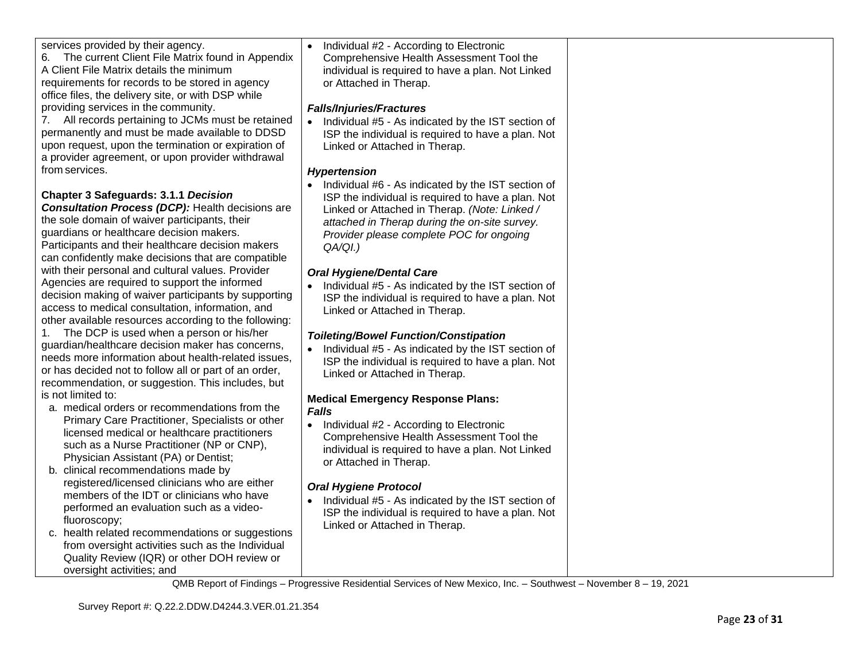| Individual #2 - According to Electronic<br>$\bullet$<br>Comprehensive Health Assessment Tool the<br>individual is required to have a plan. Not Linked<br>or Attached in Therap.<br><b>Falls/Injuries/Fractures</b><br>Individual #5 - As indicated by the IST section of<br>$\bullet$<br>ISP the individual is required to have a plan. Not<br>Linked or Attached in Therap.<br><b>Hypertension</b><br>Individual #6 - As indicated by the IST section of<br>$\bullet$<br>ISP the individual is required to have a plan. Not<br>Linked or Attached in Therap. (Note: Linked /<br>attached in Therap during the on-site survey.<br>Provider please complete POC for ongoing<br>QA/QI.)<br><b>Oral Hygiene/Dental Care</b><br>Individual #5 - As indicated by the IST section of<br>ISP the individual is required to have a plan. Not<br>Linked or Attached in Therap.<br><b>Toileting/Bowel Function/Constipation</b><br>Individual #5 - As indicated by the IST section of<br>ISP the individual is required to have a plan. Not<br>Linked or Attached in Therap.<br><b>Medical Emergency Response Plans:</b><br><b>Falls</b><br>Individual #2 - According to Electronic<br>Comprehensive Health Assessment Tool the<br>individual is required to have a plan. Not Linked<br>or Attached in Therap. |  |
|------------------------------------------------------------------------------------------------------------------------------------------------------------------------------------------------------------------------------------------------------------------------------------------------------------------------------------------------------------------------------------------------------------------------------------------------------------------------------------------------------------------------------------------------------------------------------------------------------------------------------------------------------------------------------------------------------------------------------------------------------------------------------------------------------------------------------------------------------------------------------------------------------------------------------------------------------------------------------------------------------------------------------------------------------------------------------------------------------------------------------------------------------------------------------------------------------------------------------------------------------------------------------------------------------|--|
| <b>Oral Hygiene Protocol</b><br>Individual #5 - As indicated by the IST section of<br>$\bullet$<br>ISP the individual is required to have a plan. Not<br>Linked or Attached in Therap.                                                                                                                                                                                                                                                                                                                                                                                                                                                                                                                                                                                                                                                                                                                                                                                                                                                                                                                                                                                                                                                                                                               |  |
|                                                                                                                                                                                                                                                                                                                                                                                                                                                                                                                                                                                                                                                                                                                                                                                                                                                                                                                                                                                                                                                                                                                                                                                                                                                                                                      |  |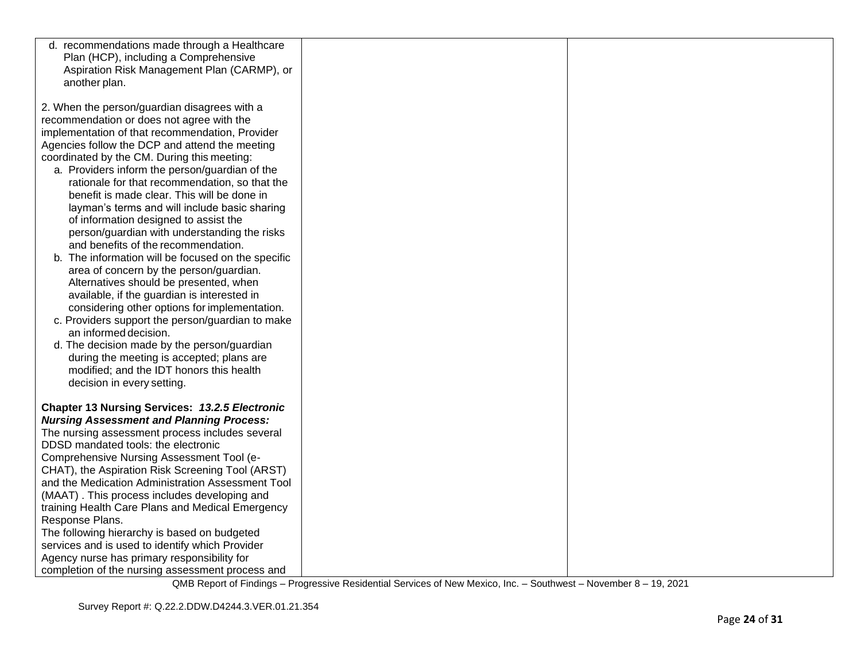| d. recommendations made through a Healthcare<br>Plan (HCP), including a Comprehensive<br>Aspiration Risk Management Plan (CARMP), or<br>another plan.                                                                                                                                                                                                                                                                                                                                                                                                                                                                                                                                                                                                                                                                                                                                                                                                                                                                                                                           |  |
|---------------------------------------------------------------------------------------------------------------------------------------------------------------------------------------------------------------------------------------------------------------------------------------------------------------------------------------------------------------------------------------------------------------------------------------------------------------------------------------------------------------------------------------------------------------------------------------------------------------------------------------------------------------------------------------------------------------------------------------------------------------------------------------------------------------------------------------------------------------------------------------------------------------------------------------------------------------------------------------------------------------------------------------------------------------------------------|--|
| 2. When the person/guardian disagrees with a<br>recommendation or does not agree with the<br>implementation of that recommendation, Provider<br>Agencies follow the DCP and attend the meeting<br>coordinated by the CM. During this meeting:<br>a. Providers inform the person/guardian of the<br>rationale for that recommendation, so that the<br>benefit is made clear. This will be done in<br>layman's terms and will include basic sharing<br>of information designed to assist the<br>person/guardian with understanding the risks<br>and benefits of the recommendation.<br>b. The information will be focused on the specific<br>area of concern by the person/guardian.<br>Alternatives should be presented, when<br>available, if the guardian is interested in<br>considering other options for implementation.<br>c. Providers support the person/guardian to make<br>an informed decision.<br>d. The decision made by the person/guardian<br>during the meeting is accepted; plans are<br>modified; and the IDT honors this health<br>decision in every setting. |  |
| <b>Chapter 13 Nursing Services: 13.2.5 Electronic</b><br><b>Nursing Assessment and Planning Process:</b><br>The nursing assessment process includes several<br>DDSD mandated tools: the electronic<br>Comprehensive Nursing Assessment Tool (e-<br>CHAT), the Aspiration Risk Screening Tool (ARST)<br>and the Medication Administration Assessment Tool<br>(MAAT). This process includes developing and<br>training Health Care Plans and Medical Emergency<br>Response Plans.<br>The following hierarchy is based on budgeted<br>services and is used to identify which Provider<br>Agency nurse has primary responsibility for<br>completion of the nursing assessment process and                                                                                                                                                                                                                                                                                                                                                                                           |  |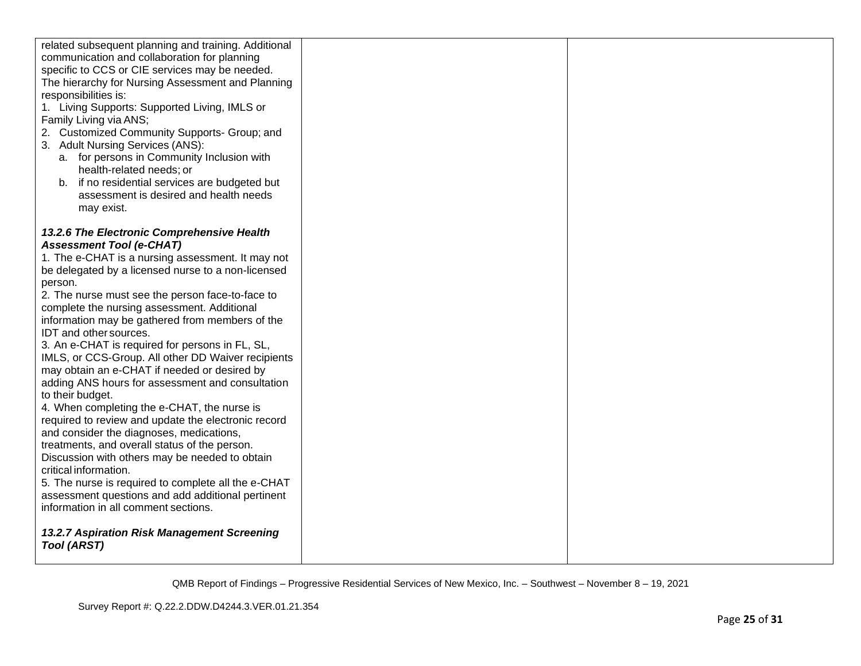| related subsequent planning and training. Additional<br>communication and collaboration for planning<br>specific to CCS or CIE services may be needed.<br>The hierarchy for Nursing Assessment and Planning<br>responsibilities is:<br>1. Living Supports: Supported Living, IMLS or<br>Family Living via ANS;<br>2. Customized Community Supports- Group; and<br>3. Adult Nursing Services (ANS):<br>a. for persons in Community Inclusion with<br>health-related needs; or<br>b. if no residential services are budgeted but<br>assessment is desired and health needs<br>may exist.                                                                              |  |
|---------------------------------------------------------------------------------------------------------------------------------------------------------------------------------------------------------------------------------------------------------------------------------------------------------------------------------------------------------------------------------------------------------------------------------------------------------------------------------------------------------------------------------------------------------------------------------------------------------------------------------------------------------------------|--|
| 13.2.6 The Electronic Comprehensive Health<br><b>Assessment Tool (e-CHAT)</b><br>1. The e-CHAT is a nursing assessment. It may not<br>be delegated by a licensed nurse to a non-licensed<br>person.<br>2. The nurse must see the person face-to-face to<br>complete the nursing assessment. Additional<br>information may be gathered from members of the<br>IDT and other sources.<br>3. An e-CHAT is required for persons in FL, SL,<br>IMLS, or CCS-Group. All other DD Waiver recipients<br>may obtain an e-CHAT if needed or desired by<br>adding ANS hours for assessment and consultation<br>to their budget.<br>4. When completing the e-CHAT, the nurse is |  |
| required to review and update the electronic record<br>and consider the diagnoses, medications,<br>treatments, and overall status of the person.<br>Discussion with others may be needed to obtain<br>critical information.<br>5. The nurse is required to complete all the e-CHAT<br>assessment questions and add additional pertinent<br>information in all comment sections.<br>13.2.7 Aspiration Risk Management Screening<br><b>Tool (ARST)</b>                                                                                                                                                                                                                |  |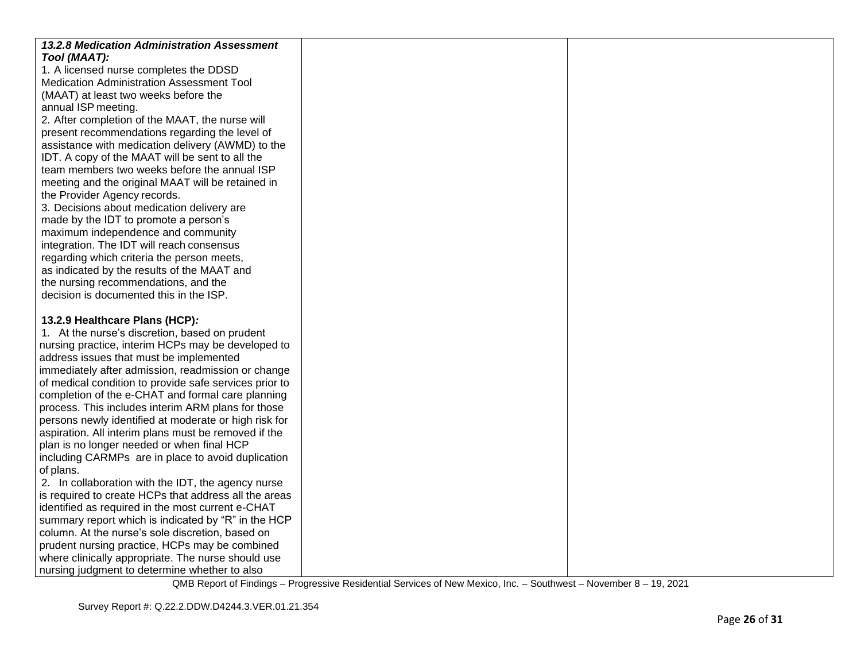| 13.2.8 Medication Administration Assessment            |  |
|--------------------------------------------------------|--|
| Tool (MAAT):<br>1. A licensed nurse completes the DDSD |  |
| Medication Administration Assessment Tool              |  |
| (MAAT) at least two weeks before the                   |  |
| annual ISP meeting.                                    |  |
| 2. After completion of the MAAT, the nurse will        |  |
| present recommendations regarding the level of         |  |
| assistance with medication delivery (AWMD) to the      |  |
| IDT. A copy of the MAAT will be sent to all the        |  |
| team members two weeks before the annual ISP           |  |
| meeting and the original MAAT will be retained in      |  |
| the Provider Agency records.                           |  |
| 3. Decisions about medication delivery are             |  |
| made by the IDT to promote a person's                  |  |
| maximum independence and community                     |  |
| integration. The IDT will reach consensus              |  |
| regarding which criteria the person meets,             |  |
| as indicated by the results of the MAAT and            |  |
| the nursing recommendations, and the                   |  |
| decision is documented this in the ISP.                |  |
| 13.2.9 Healthcare Plans (HCP):                         |  |
| 1. At the nurse's discretion, based on prudent         |  |
| nursing practice, interim HCPs may be developed to     |  |
| address issues that must be implemented                |  |
| immediately after admission, readmission or change     |  |
| of medical condition to provide safe services prior to |  |
| completion of the e-CHAT and formal care planning      |  |
| process. This includes interim ARM plans for those     |  |
| persons newly identified at moderate or high risk for  |  |
| aspiration. All interim plans must be removed if the   |  |
| plan is no longer needed or when final HCP             |  |
| including CARMPs are in place to avoid duplication     |  |
| of plans.                                              |  |
| 2. In collaboration with the IDT, the agency nurse     |  |
| is required to create HCPs that address all the areas  |  |
| identified as required in the most current e-CHAT      |  |
| summary report which is indicated by "R" in the HCP    |  |
| column. At the nurse's sole discretion, based on       |  |
| prudent nursing practice, HCPs may be combined         |  |
| where clinically appropriate. The nurse should use     |  |
| nursing judgment to determine whether to also          |  |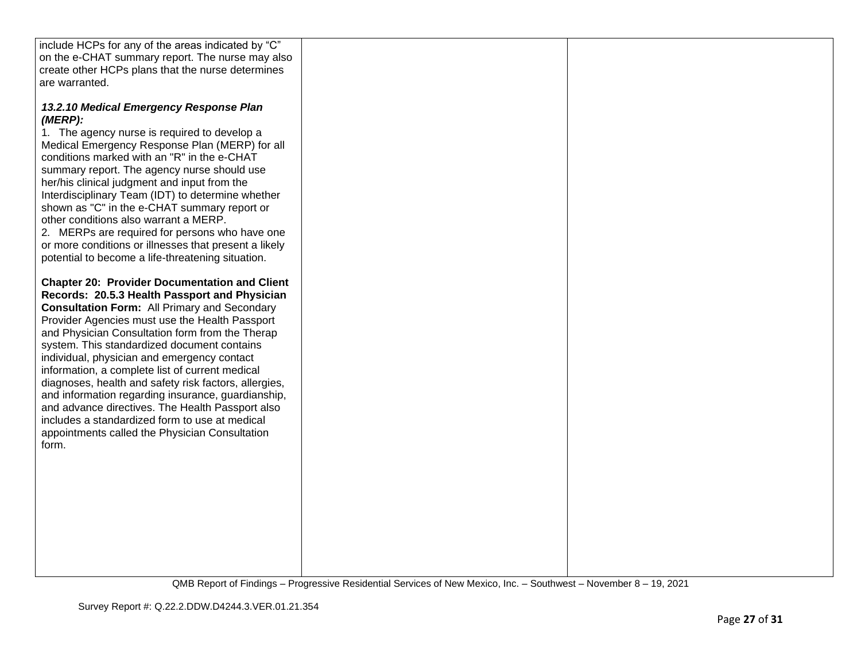| include HCPs for any of the areas indicated by "C"                                                                                                                                                                                                                                                                                                                                                                                                                                                                                                                                                                                                                                                 |  |
|----------------------------------------------------------------------------------------------------------------------------------------------------------------------------------------------------------------------------------------------------------------------------------------------------------------------------------------------------------------------------------------------------------------------------------------------------------------------------------------------------------------------------------------------------------------------------------------------------------------------------------------------------------------------------------------------------|--|
| on the e-CHAT summary report. The nurse may also                                                                                                                                                                                                                                                                                                                                                                                                                                                                                                                                                                                                                                                   |  |
| create other HCPs plans that the nurse determines                                                                                                                                                                                                                                                                                                                                                                                                                                                                                                                                                                                                                                                  |  |
| are warranted.                                                                                                                                                                                                                                                                                                                                                                                                                                                                                                                                                                                                                                                                                     |  |
|                                                                                                                                                                                                                                                                                                                                                                                                                                                                                                                                                                                                                                                                                                    |  |
| 13.2.10 Medical Emergency Response Plan<br>(MERP):<br>1. The agency nurse is required to develop a<br>Medical Emergency Response Plan (MERP) for all<br>conditions marked with an "R" in the e-CHAT<br>summary report. The agency nurse should use<br>her/his clinical judgment and input from the<br>Interdisciplinary Team (IDT) to determine whether<br>shown as "C" in the e-CHAT summary report or<br>other conditions also warrant a MERP.<br>2. MERPs are required for persons who have one<br>or more conditions or illnesses that present a likely                                                                                                                                        |  |
| potential to become a life-threatening situation.                                                                                                                                                                                                                                                                                                                                                                                                                                                                                                                                                                                                                                                  |  |
| <b>Chapter 20: Provider Documentation and Client</b><br>Records: 20.5.3 Health Passport and Physician<br><b>Consultation Form: All Primary and Secondary</b><br>Provider Agencies must use the Health Passport<br>and Physician Consultation form from the Therap<br>system. This standardized document contains<br>individual, physician and emergency contact<br>information, a complete list of current medical<br>diagnoses, health and safety risk factors, allergies,<br>and information regarding insurance, guardianship,<br>and advance directives. The Health Passport also<br>includes a standardized form to use at medical<br>appointments called the Physician Consultation<br>form. |  |
|                                                                                                                                                                                                                                                                                                                                                                                                                                                                                                                                                                                                                                                                                                    |  |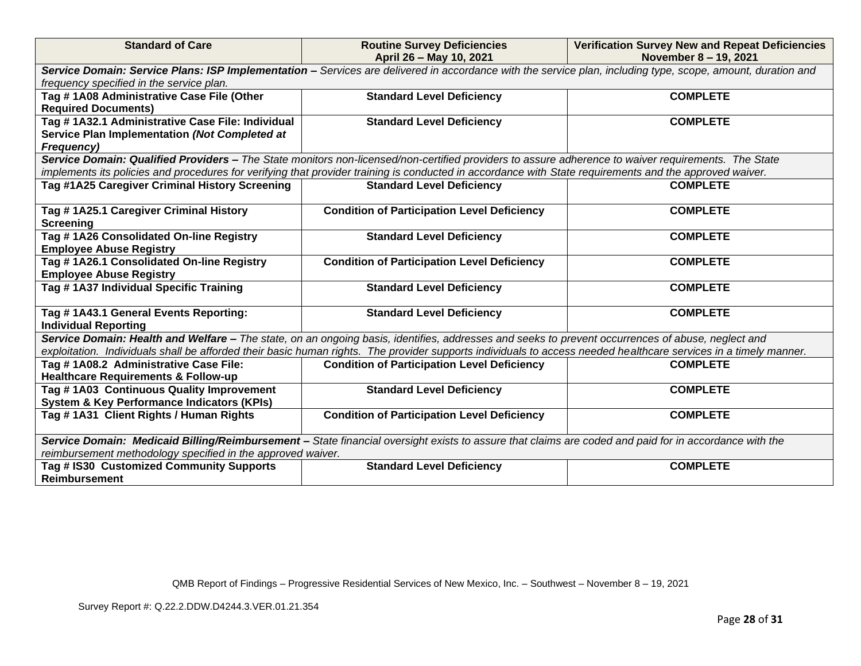| <b>Standard of Care</b>                                                                           | <b>Routine Survey Deficiencies</b><br>April 26 - May 10, 2021                                                                                                    | <b>Verification Survey New and Repeat Deficiencies</b><br>November 8 - 19, 2021 |  |  |
|---------------------------------------------------------------------------------------------------|------------------------------------------------------------------------------------------------------------------------------------------------------------------|---------------------------------------------------------------------------------|--|--|
|                                                                                                   | Service Domain: Service Plans: ISP Implementation - Services are delivered in accordance with the service plan, including type, scope, amount, duration and      |                                                                                 |  |  |
| frequency specified in the service plan.                                                          |                                                                                                                                                                  |                                                                                 |  |  |
| Tag # 1A08 Administrative Case File (Other<br><b>Standard Level Deficiency</b><br><b>COMPLETE</b> |                                                                                                                                                                  |                                                                                 |  |  |
| <b>Required Documents)</b>                                                                        |                                                                                                                                                                  |                                                                                 |  |  |
| Tag # 1A32.1 Administrative Case File: Individual                                                 | <b>Standard Level Deficiency</b>                                                                                                                                 | <b>COMPLETE</b>                                                                 |  |  |
| Service Plan Implementation (Not Completed at                                                     |                                                                                                                                                                  |                                                                                 |  |  |
| Frequency)                                                                                        |                                                                                                                                                                  |                                                                                 |  |  |
|                                                                                                   | Service Domain: Qualified Providers - The State monitors non-licensed/non-certified providers to assure adherence to waiver requirements. The State              |                                                                                 |  |  |
|                                                                                                   | implements its policies and procedures for verifying that provider training is conducted in accordance with State requirements and the approved waiver.          |                                                                                 |  |  |
| Tag #1A25 Caregiver Criminal History Screening                                                    | <b>Standard Level Deficiency</b>                                                                                                                                 | <b>COMPLETE</b>                                                                 |  |  |
|                                                                                                   |                                                                                                                                                                  |                                                                                 |  |  |
| Tag #1A25.1 Caregiver Criminal History                                                            | <b>Condition of Participation Level Deficiency</b>                                                                                                               | <b>COMPLETE</b>                                                                 |  |  |
| <b>Screening</b><br>Tag #1A26 Consolidated On-line Registry                                       |                                                                                                                                                                  | <b>COMPLETE</b>                                                                 |  |  |
| <b>Employee Abuse Registry</b>                                                                    | <b>Standard Level Deficiency</b>                                                                                                                                 |                                                                                 |  |  |
| Tag #1A26.1 Consolidated On-line Registry                                                         | <b>Condition of Participation Level Deficiency</b>                                                                                                               | <b>COMPLETE</b>                                                                 |  |  |
| <b>Employee Abuse Registry</b>                                                                    |                                                                                                                                                                  |                                                                                 |  |  |
| Tag #1A37 Individual Specific Training                                                            | <b>Standard Level Deficiency</b>                                                                                                                                 | <b>COMPLETE</b>                                                                 |  |  |
|                                                                                                   |                                                                                                                                                                  |                                                                                 |  |  |
| Tag # 1A43.1 General Events Reporting:                                                            | <b>Standard Level Deficiency</b>                                                                                                                                 | <b>COMPLETE</b>                                                                 |  |  |
| <b>Individual Reporting</b>                                                                       |                                                                                                                                                                  |                                                                                 |  |  |
|                                                                                                   | Service Domain: Health and Welfare – The state, on an ongoing basis, identifies, addresses and seeks to prevent occurrences of abuse, neglect and                |                                                                                 |  |  |
|                                                                                                   | exploitation. Individuals shall be afforded their basic human rights. The provider supports individuals to access needed healthcare services in a timely manner. |                                                                                 |  |  |
| Tag #1A08.2 Administrative Case File:                                                             | <b>Condition of Participation Level Deficiency</b>                                                                                                               | <b>COMPLETE</b>                                                                 |  |  |
| <b>Healthcare Requirements &amp; Follow-up</b>                                                    |                                                                                                                                                                  |                                                                                 |  |  |
| Tag #1A03 Continuous Quality Improvement                                                          | <b>Standard Level Deficiency</b>                                                                                                                                 | <b>COMPLETE</b>                                                                 |  |  |
| <b>System &amp; Key Performance Indicators (KPIs)</b>                                             |                                                                                                                                                                  |                                                                                 |  |  |
| Tag #1A31 Client Rights / Human Rights                                                            | <b>Condition of Participation Level Deficiency</b>                                                                                                               | <b>COMPLETE</b>                                                                 |  |  |
|                                                                                                   | Service Domain: Medicaid Billing/Reimbursement - State financial oversight exists to assure that claims are coded and paid for in accordance with the            |                                                                                 |  |  |
| reimbursement methodology specified in the approved waiver.                                       |                                                                                                                                                                  |                                                                                 |  |  |
| Tag # IS30 Customized Community Supports                                                          | <b>Standard Level Deficiency</b>                                                                                                                                 | <b>COMPLETE</b>                                                                 |  |  |
| Reimbursement                                                                                     |                                                                                                                                                                  |                                                                                 |  |  |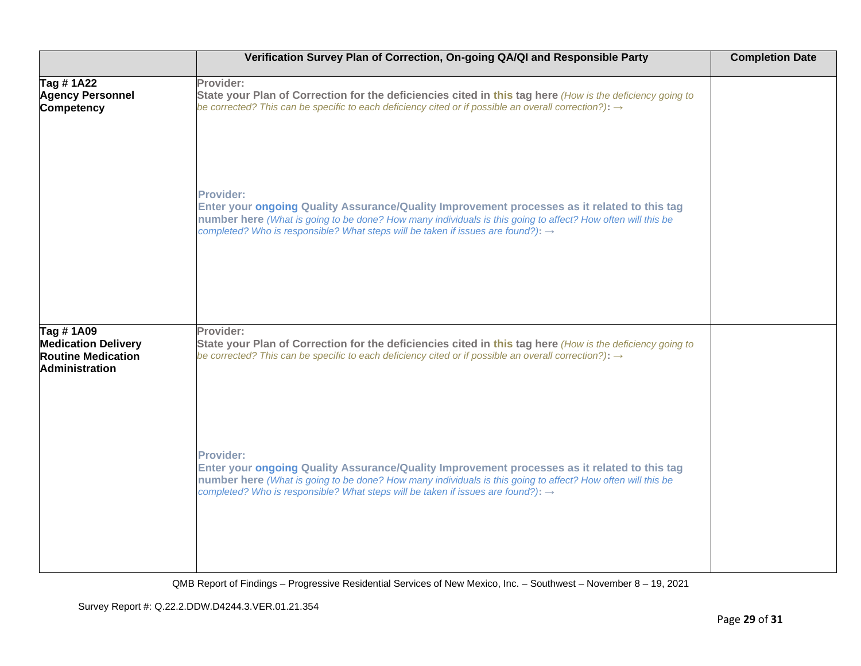|                                                                                                | Verification Survey Plan of Correction, On-going QA/QI and Responsible Party                                                                                                                                                                                                                                                    | <b>Completion Date</b> |
|------------------------------------------------------------------------------------------------|---------------------------------------------------------------------------------------------------------------------------------------------------------------------------------------------------------------------------------------------------------------------------------------------------------------------------------|------------------------|
| Tag # 1A22<br><b>Agency Personnel</b><br>Competency                                            | Provider:<br>State your Plan of Correction for the deficiencies cited in this tag here (How is the deficiency going to<br>be corrected? This can be specific to each deficiency cited or if possible an overall correction?): $\rightarrow$                                                                                     |                        |
|                                                                                                | <b>Provider:</b><br>Enter your ongoing Quality Assurance/Quality Improvement processes as it related to this tag<br>number here (What is going to be done? How many individuals is this going to affect? How often will this be<br>completed? Who is responsible? What steps will be taken if issues are found?): $\rightarrow$ |                        |
| Tag # 1A09<br><b>Medication Delivery</b><br><b>Routine Medication</b><br><b>Administration</b> | Provider:<br>State your Plan of Correction for the deficiencies cited in this tag here (How is the deficiency going to<br>be corrected? This can be specific to each deficiency cited or if possible an overall correction?): $\rightarrow$                                                                                     |                        |
|                                                                                                | <b>Provider:</b><br>Enter your ongoing Quality Assurance/Quality Improvement processes as it related to this tag<br>number here (What is going to be done? How many individuals is this going to affect? How often will this be<br>completed? Who is responsible? What steps will be taken if issues are found?): $\rightarrow$ |                        |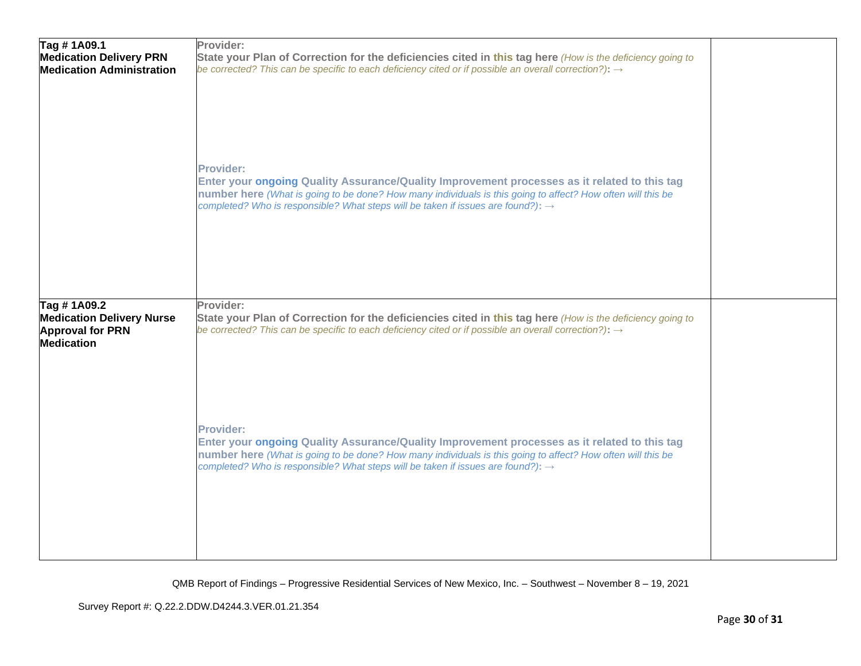| Tag #1A09.1<br><b>Medication Delivery PRN</b><br><b>Medication Administration</b> | Provider:<br>State your Plan of Correction for the deficiencies cited in this tag here (How is the deficiency going to<br>be corrected? This can be specific to each deficiency cited or if possible an overall correction?): $\rightarrow$                                                                                     |  |
|-----------------------------------------------------------------------------------|---------------------------------------------------------------------------------------------------------------------------------------------------------------------------------------------------------------------------------------------------------------------------------------------------------------------------------|--|
|                                                                                   | Provider:<br>Enter your ongoing Quality Assurance/Quality Improvement processes as it related to this tag<br>number here (What is going to be done? How many individuals is this going to affect? How often will this be<br>completed? Who is responsible? What steps will be taken if issues are found?): $\rightarrow$        |  |
| Tag # 1A09.2                                                                      | Provider:                                                                                                                                                                                                                                                                                                                       |  |
| <b>Medication Delivery Nurse</b><br><b>Approval for PRN</b><br><b>Medication</b>  | State your Plan of Correction for the deficiencies cited in this tag here (How is the deficiency going to<br>be corrected? This can be specific to each deficiency cited or if possible an overall correction?): $\rightarrow$                                                                                                  |  |
|                                                                                   | <b>Provider:</b><br>Enter your ongoing Quality Assurance/Quality Improvement processes as it related to this tag<br>number here (What is going to be done? How many individuals is this going to affect? How often will this be<br>completed? Who is responsible? What steps will be taken if issues are found?): $\rightarrow$ |  |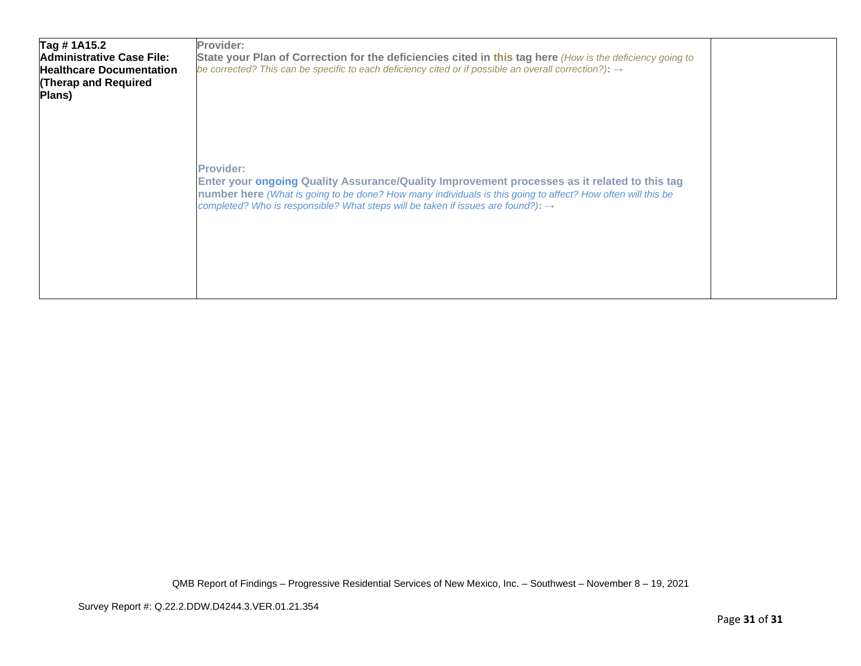| Tag #1A15.2<br><b>Administrative Case File:</b><br><b>Healthcare Documentation</b><br>(Therap and Required<br>Plans) | Provider:<br>State your Plan of Correction for the deficiencies cited in this tag here (How is the deficiency going to<br>be corrected? This can be specific to each deficiency cited or if possible an overall correction?): $\rightarrow$                                                                                     |  |
|----------------------------------------------------------------------------------------------------------------------|---------------------------------------------------------------------------------------------------------------------------------------------------------------------------------------------------------------------------------------------------------------------------------------------------------------------------------|--|
|                                                                                                                      | <b>Provider:</b><br>Enter your ongoing Quality Assurance/Quality Improvement processes as it related to this tag<br>number here (What is going to be done? How many individuals is this going to affect? How often will this be<br>completed? Who is responsible? What steps will be taken if issues are found?): $\rightarrow$ |  |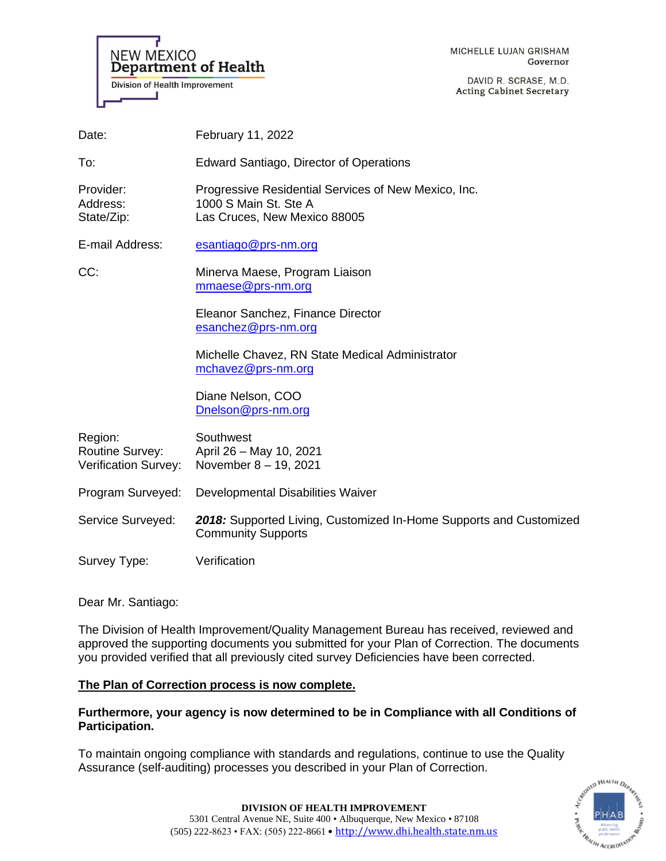

MICHELLE LUJAN GRISHAM Governor

DAVID R. SCRASE, M.D. **Acting Cabinet Secretary** 

| Date:                                                     | February 11, 2022                                                                                             |  |
|-----------------------------------------------------------|---------------------------------------------------------------------------------------------------------------|--|
| To:                                                       | <b>Edward Santiago, Director of Operations</b>                                                                |  |
| Provider:<br>Address:<br>State/Zip:                       | Progressive Residential Services of New Mexico, Inc.<br>1000 S Main St. Ste A<br>Las Cruces, New Mexico 88005 |  |
| E-mail Address:                                           | esantiago@prs-nm.org                                                                                          |  |
| CC:                                                       | Minerva Maese, Program Liaison<br>mmaese@prs-nm.org                                                           |  |
|                                                           | Eleanor Sanchez, Finance Director<br>esanchez@prs-nm.org                                                      |  |
|                                                           | Michelle Chavez, RN State Medical Administrator<br>mchavez@prs-nm.org                                         |  |
|                                                           | Diane Nelson, COO<br>Dnelson@prs-nm.org                                                                       |  |
| Region:<br><b>Routine Survey:</b><br>Verification Survey: | Southwest<br>April 26 - May 10, 2021<br>November 8 - 19, 2021                                                 |  |
| Program Surveyed:                                         | Developmental Disabilities Waiver                                                                             |  |
| Service Surveyed:                                         | 2018: Supported Living, Customized In-Home Supports and Customized<br><b>Community Supports</b>               |  |
| Survey Type:                                              | Verification                                                                                                  |  |

Dear Mr. Santiago:

The Division of Health Improvement/Quality Management Bureau has received, reviewed and approved the supporting documents you submitted for your Plan of Correction. The documents you provided verified that all previously cited survey Deficiencies have been corrected.

# **The Plan of Correction process is now complete.**

**Furthermore, your agency is now determined to be in Compliance with all Conditions of Participation.**

To maintain ongoing compliance with standards and regulations, continue to use the Quality Assurance (self-auditing) processes you described in your Plan of Correction.